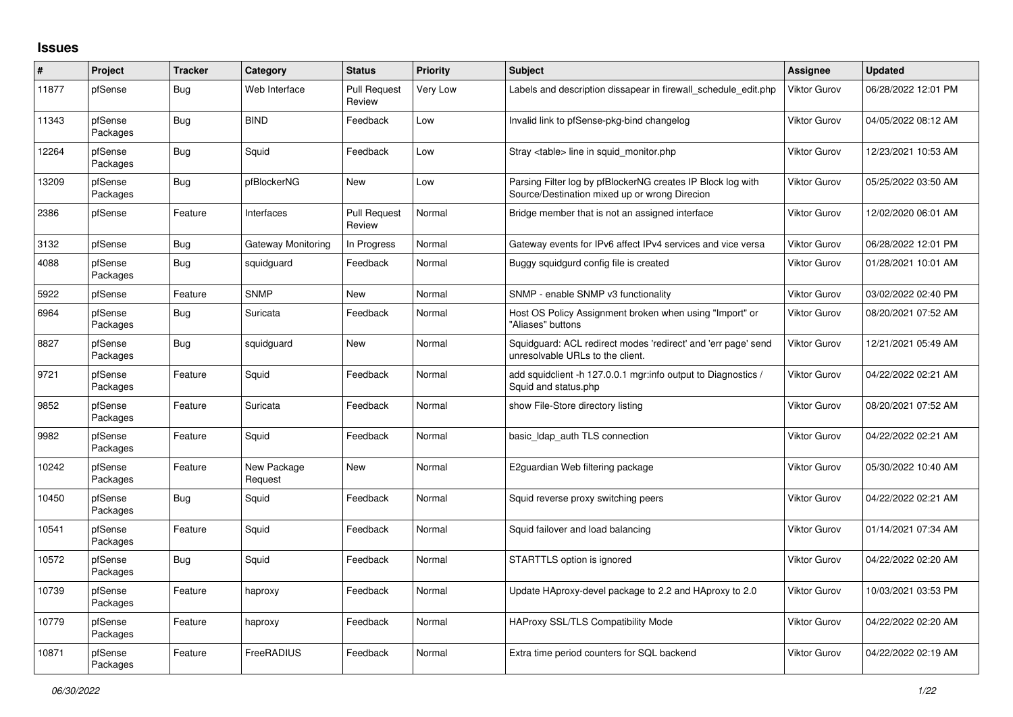## **Issues**

| $\pmb{\sharp}$ | Project             | <b>Tracker</b> | Category               | <b>Status</b>                 | <b>Priority</b> | <b>Subject</b>                                                                                               | Assignee            | <b>Updated</b>      |
|----------------|---------------------|----------------|------------------------|-------------------------------|-----------------|--------------------------------------------------------------------------------------------------------------|---------------------|---------------------|
| 11877          | pfSense             | Bug            | Web Interface          | <b>Pull Request</b><br>Review | Very Low        | Labels and description dissapear in firewall schedule edit.php                                               | Viktor Gurov        | 06/28/2022 12:01 PM |
| 11343          | pfSense<br>Packages | Bug            | <b>BIND</b>            | Feedback                      | Low             | Invalid link to pfSense-pkg-bind changelog                                                                   | <b>Viktor Gurov</b> | 04/05/2022 08:12 AM |
| 12264          | pfSense<br>Packages | Bug            | Squid                  | Feedback                      | Low             | Stray <table> line in squid monitor.php</table>                                                              | Viktor Gurov        | 12/23/2021 10:53 AM |
| 13209          | pfSense<br>Packages | <b>Bug</b>     | pfBlockerNG            | <b>New</b>                    | Low             | Parsing Filter log by pfBlockerNG creates IP Block log with<br>Source/Destination mixed up or wrong Direcion | Viktor Gurov        | 05/25/2022 03:50 AM |
| 2386           | pfSense             | Feature        | Interfaces             | <b>Pull Request</b><br>Review | Normal          | Bridge member that is not an assigned interface                                                              | Viktor Gurov        | 12/02/2020 06:01 AM |
| 3132           | pfSense             | Bug            | Gateway Monitoring     | In Progress                   | Normal          | Gateway events for IPv6 affect IPv4 services and vice versa                                                  | Viktor Gurov        | 06/28/2022 12:01 PM |
| 4088           | pfSense<br>Packages | <b>Bug</b>     | squidguard             | Feedback                      | Normal          | Buggy squidgurd config file is created                                                                       | Viktor Gurov        | 01/28/2021 10:01 AM |
| 5922           | pfSense             | Feature        | <b>SNMP</b>            | <b>New</b>                    | Normal          | SNMP - enable SNMP v3 functionality                                                                          | Viktor Gurov        | 03/02/2022 02:40 PM |
| 6964           | pfSense<br>Packages | Bug            | Suricata               | Feedback                      | Normal          | Host OS Policy Assignment broken when using "Import" or<br>"Aliases" buttons                                 | Viktor Gurov        | 08/20/2021 07:52 AM |
| 8827           | pfSense<br>Packages | Bug            | squidguard             | New                           | Normal          | Squidguard: ACL redirect modes 'redirect' and 'err page' send<br>unresolvable URLs to the client.            | Viktor Gurov        | 12/21/2021 05:49 AM |
| 9721           | pfSense<br>Packages | Feature        | Squid                  | Feedback                      | Normal          | add squidclient -h 127.0.0.1 mgr:info output to Diagnostics /<br>Squid and status.php                        | Viktor Gurov        | 04/22/2022 02:21 AM |
| 9852           | pfSense<br>Packages | Feature        | Suricata               | Feedback                      | Normal          | show File-Store directory listing                                                                            | Viktor Gurov        | 08/20/2021 07:52 AM |
| 9982           | pfSense<br>Packages | Feature        | Squid                  | Feedback                      | Normal          | basic_Idap_auth TLS connection                                                                               | Viktor Gurov        | 04/22/2022 02:21 AM |
| 10242          | pfSense<br>Packages | Feature        | New Package<br>Request | <b>New</b>                    | Normal          | E2guardian Web filtering package                                                                             | <b>Viktor Gurov</b> | 05/30/2022 10:40 AM |
| 10450          | pfSense<br>Packages | <b>Bug</b>     | Squid                  | Feedback                      | Normal          | Squid reverse proxy switching peers                                                                          | Viktor Gurov        | 04/22/2022 02:21 AM |
| 10541          | pfSense<br>Packages | Feature        | Squid                  | Feedback                      | Normal          | Squid failover and load balancing                                                                            | Viktor Gurov        | 01/14/2021 07:34 AM |
| 10572          | pfSense<br>Packages | <b>Bug</b>     | Squid                  | Feedback                      | Normal          | STARTTLS option is ignored                                                                                   | <b>Viktor Gurov</b> | 04/22/2022 02:20 AM |
| 10739          | pfSense<br>Packages | Feature        | haproxy                | Feedback                      | Normal          | Update HAproxy-devel package to 2.2 and HAproxy to 2.0                                                       | Viktor Gurov        | 10/03/2021 03:53 PM |
| 10779          | pfSense<br>Packages | Feature        | haproxy                | Feedback                      | Normal          | <b>HAProxy SSL/TLS Compatibility Mode</b>                                                                    | <b>Viktor Gurov</b> | 04/22/2022 02:20 AM |
| 10871          | pfSense<br>Packages | Feature        | FreeRADIUS             | Feedback                      | Normal          | Extra time period counters for SQL backend                                                                   | Viktor Gurov        | 04/22/2022 02:19 AM |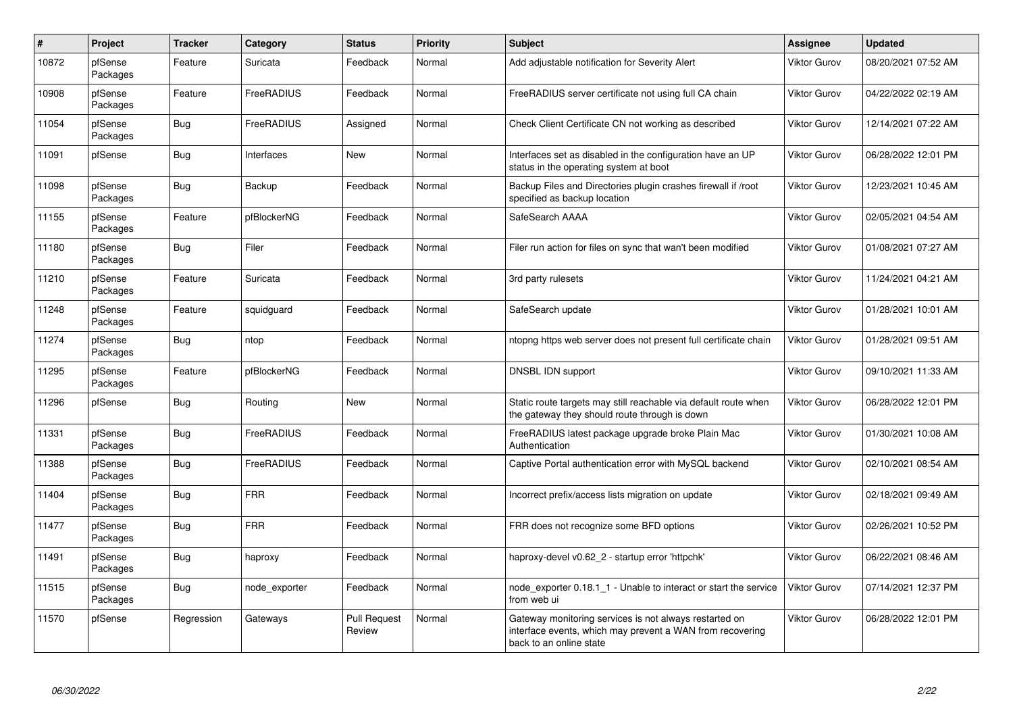| $\pmb{\#}$ | Project             | <b>Tracker</b> | Category      | <b>Status</b>                 | <b>Priority</b> | <b>Subject</b>                                                                                                                                 | <b>Assignee</b>     | <b>Updated</b>      |
|------------|---------------------|----------------|---------------|-------------------------------|-----------------|------------------------------------------------------------------------------------------------------------------------------------------------|---------------------|---------------------|
| 10872      | pfSense<br>Packages | Feature        | Suricata      | Feedback                      | Normal          | Add adjustable notification for Severity Alert                                                                                                 | Viktor Gurov        | 08/20/2021 07:52 AM |
| 10908      | pfSense<br>Packages | Feature        | FreeRADIUS    | Feedback                      | Normal          | FreeRADIUS server certificate not using full CA chain                                                                                          | Viktor Gurov        | 04/22/2022 02:19 AM |
| 11054      | pfSense<br>Packages | <b>Bug</b>     | FreeRADIUS    | Assigned                      | Normal          | Check Client Certificate CN not working as described                                                                                           | Viktor Gurov        | 12/14/2021 07:22 AM |
| 11091      | pfSense             | Bug            | Interfaces    | New                           | Normal          | Interfaces set as disabled in the configuration have an UP<br>status in the operating system at boot                                           | Viktor Gurov        | 06/28/2022 12:01 PM |
| 11098      | pfSense<br>Packages | <b>Bug</b>     | Backup        | Feedback                      | Normal          | Backup Files and Directories plugin crashes firewall if /root<br>specified as backup location                                                  | Viktor Gurov        | 12/23/2021 10:45 AM |
| 11155      | pfSense<br>Packages | Feature        | pfBlockerNG   | Feedback                      | Normal          | SafeSearch AAAA                                                                                                                                | Viktor Gurov        | 02/05/2021 04:54 AM |
| 11180      | pfSense<br>Packages | <b>Bug</b>     | Filer         | Feedback                      | Normal          | Filer run action for files on sync that wan't been modified                                                                                    | Viktor Gurov        | 01/08/2021 07:27 AM |
| 11210      | pfSense<br>Packages | Feature        | Suricata      | Feedback                      | Normal          | 3rd party rulesets                                                                                                                             | Viktor Gurov        | 11/24/2021 04:21 AM |
| 11248      | pfSense<br>Packages | Feature        | squidguard    | Feedback                      | Normal          | SafeSearch update                                                                                                                              | Viktor Gurov        | 01/28/2021 10:01 AM |
| 11274      | pfSense<br>Packages | <b>Bug</b>     | ntop          | Feedback                      | Normal          | ntopng https web server does not present full certificate chain                                                                                | <b>Viktor Gurov</b> | 01/28/2021 09:51 AM |
| 11295      | pfSense<br>Packages | Feature        | pfBlockerNG   | Feedback                      | Normal          | DNSBL IDN support                                                                                                                              | Viktor Gurov        | 09/10/2021 11:33 AM |
| 11296      | pfSense             | Bug            | Routing       | <b>New</b>                    | Normal          | Static route targets may still reachable via default route when<br>the gateway they should route through is down                               | Viktor Gurov        | 06/28/2022 12:01 PM |
| 11331      | pfSense<br>Packages | <b>Bug</b>     | FreeRADIUS    | Feedback                      | Normal          | FreeRADIUS latest package upgrade broke Plain Mac<br>Authentication                                                                            | Viktor Gurov        | 01/30/2021 10:08 AM |
| 11388      | pfSense<br>Packages | Bug            | FreeRADIUS    | Feedback                      | Normal          | Captive Portal authentication error with MySQL backend                                                                                         | Viktor Gurov        | 02/10/2021 08:54 AM |
| 11404      | pfSense<br>Packages | <b>Bug</b>     | <b>FRR</b>    | Feedback                      | Normal          | Incorrect prefix/access lists migration on update                                                                                              | Viktor Gurov        | 02/18/2021 09:49 AM |
| 11477      | pfSense<br>Packages | Bug            | <b>FRR</b>    | Feedback                      | Normal          | FRR does not recognize some BFD options                                                                                                        | Viktor Gurov        | 02/26/2021 10:52 PM |
| 11491      | pfSense<br>Packages | Bug            | haproxy       | Feedback                      | Normal          | haproxy-devel v0.62_2 - startup error 'httpchk'                                                                                                | Viktor Gurov        | 06/22/2021 08:46 AM |
| 11515      | pfSense<br>Packages | Bug            | node exporter | Feedback                      | Normal          | node exporter 0.18.1 1 - Unable to interact or start the service<br>from web ui                                                                | Viktor Gurov        | 07/14/2021 12:37 PM |
| 11570      | pfSense             | Regression     | Gateways      | <b>Pull Request</b><br>Review | Normal          | Gateway monitoring services is not always restarted on<br>interface events, which may prevent a WAN from recovering<br>back to an online state | Viktor Gurov        | 06/28/2022 12:01 PM |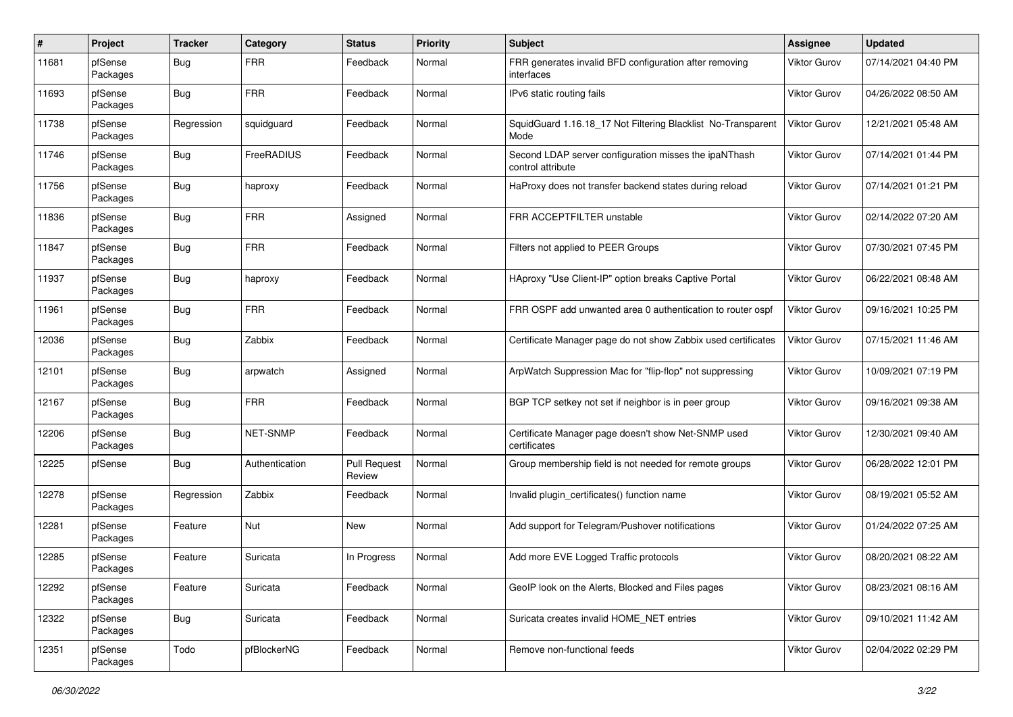| $\#$  | Project             | <b>Tracker</b> | Category       | <b>Status</b>                 | <b>Priority</b> | Subject                                                                    | <b>Assignee</b>     | <b>Updated</b>      |
|-------|---------------------|----------------|----------------|-------------------------------|-----------------|----------------------------------------------------------------------------|---------------------|---------------------|
| 11681 | pfSense<br>Packages | <b>Bug</b>     | <b>FRR</b>     | Feedback                      | Normal          | FRR generates invalid BFD configuration after removing<br>interfaces       | Viktor Gurov        | 07/14/2021 04:40 PM |
| 11693 | pfSense<br>Packages | <b>Bug</b>     | <b>FRR</b>     | Feedback                      | Normal          | IPv6 static routing fails                                                  | Viktor Gurov        | 04/26/2022 08:50 AM |
| 11738 | pfSense<br>Packages | Regression     | squidguard     | Feedback                      | Normal          | SquidGuard 1.16.18_17 Not Filtering Blacklist No-Transparent<br>Mode       | Viktor Gurov        | 12/21/2021 05:48 AM |
| 11746 | pfSense<br>Packages | <b>Bug</b>     | FreeRADIUS     | Feedback                      | Normal          | Second LDAP server configuration misses the ipaNThash<br>control attribute | Viktor Gurov        | 07/14/2021 01:44 PM |
| 11756 | pfSense<br>Packages | <b>Bug</b>     | haproxy        | Feedback                      | Normal          | HaProxy does not transfer backend states during reload                     | Viktor Gurov        | 07/14/2021 01:21 PM |
| 11836 | pfSense<br>Packages | <b>Bug</b>     | <b>FRR</b>     | Assigned                      | Normal          | FRR ACCEPTFILTER unstable                                                  | Viktor Gurov        | 02/14/2022 07:20 AM |
| 11847 | pfSense<br>Packages | <b>Bug</b>     | <b>FRR</b>     | Feedback                      | Normal          | Filters not applied to PEER Groups                                         | <b>Viktor Gurov</b> | 07/30/2021 07:45 PM |
| 11937 | pfSense<br>Packages | <b>Bug</b>     | haproxy        | Feedback                      | Normal          | HAproxy "Use Client-IP" option breaks Captive Portal                       | <b>Viktor Gurov</b> | 06/22/2021 08:48 AM |
| 11961 | pfSense<br>Packages | <b>Bug</b>     | <b>FRR</b>     | Feedback                      | Normal          | FRR OSPF add unwanted area 0 authentication to router ospf                 | Viktor Gurov        | 09/16/2021 10:25 PM |
| 12036 | pfSense<br>Packages | <b>Bug</b>     | Zabbix         | Feedback                      | Normal          | Certificate Manager page do not show Zabbix used certificates              | Viktor Gurov        | 07/15/2021 11:46 AM |
| 12101 | pfSense<br>Packages | <b>Bug</b>     | arpwatch       | Assigned                      | Normal          | ArpWatch Suppression Mac for "flip-flop" not suppressing                   | Viktor Gurov        | 10/09/2021 07:19 PM |
| 12167 | pfSense<br>Packages | <b>Bug</b>     | <b>FRR</b>     | Feedback                      | Normal          | BGP TCP setkey not set if neighbor is in peer group                        | Viktor Gurov        | 09/16/2021 09:38 AM |
| 12206 | pfSense<br>Packages | Bug            | NET-SNMP       | Feedback                      | Normal          | Certificate Manager page doesn't show Net-SNMP used<br>certificates        | Viktor Gurov        | 12/30/2021 09:40 AM |
| 12225 | pfSense             | <b>Bug</b>     | Authentication | <b>Pull Request</b><br>Review | Normal          | Group membership field is not needed for remote groups                     | Viktor Gurov        | 06/28/2022 12:01 PM |
| 12278 | pfSense<br>Packages | Regression     | Zabbix         | Feedback                      | Normal          | Invalid plugin_certificates() function name                                | Viktor Gurov        | 08/19/2021 05:52 AM |
| 12281 | pfSense<br>Packages | Feature        | Nut            | New                           | Normal          | Add support for Telegram/Pushover notifications                            | Viktor Gurov        | 01/24/2022 07:25 AM |
| 12285 | pfSense<br>Packages | Feature        | Suricata       | In Progress                   | Normal          | Add more EVE Logged Traffic protocols                                      | Viktor Gurov        | 08/20/2021 08:22 AM |
| 12292 | pfSense<br>Packages | Feature        | Suricata       | Feedback                      | Normal          | GeoIP look on the Alerts, Blocked and Files pages                          | <b>Viktor Gurov</b> | 08/23/2021 08:16 AM |
| 12322 | pfSense<br>Packages | <b>Bug</b>     | Suricata       | Feedback                      | Normal          | Suricata creates invalid HOME NET entries                                  | Viktor Gurov        | 09/10/2021 11:42 AM |
| 12351 | pfSense<br>Packages | Todo           | pfBlockerNG    | Feedback                      | Normal          | Remove non-functional feeds                                                | Viktor Gurov        | 02/04/2022 02:29 PM |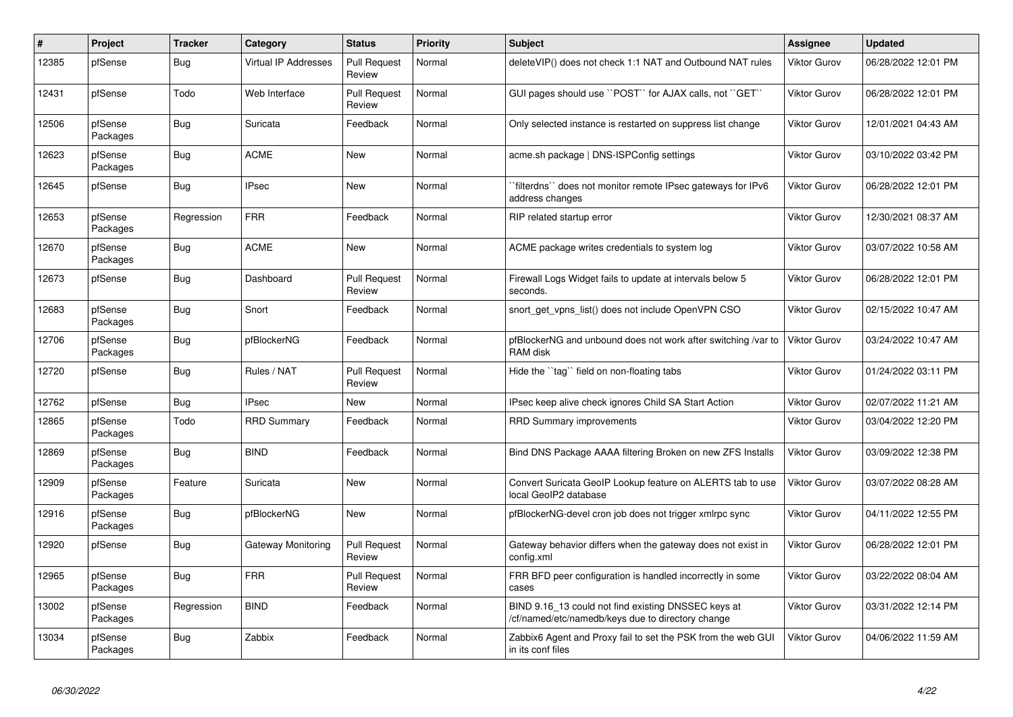| #     | Project             | <b>Tracker</b> | Category                    | <b>Status</b>                 | <b>Priority</b> | <b>Subject</b>                                                                                           | Assignee            | <b>Updated</b>      |
|-------|---------------------|----------------|-----------------------------|-------------------------------|-----------------|----------------------------------------------------------------------------------------------------------|---------------------|---------------------|
| 12385 | pfSense             | <b>Bug</b>     | <b>Virtual IP Addresses</b> | <b>Pull Request</b><br>Review | Normal          | deleteVIP() does not check 1:1 NAT and Outbound NAT rules                                                | <b>Viktor Gurov</b> | 06/28/2022 12:01 PM |
| 12431 | pfSense             | Todo           | Web Interface               | <b>Pull Request</b><br>Review | Normal          | GUI pages should use "POST" for AJAX calls, not "GET"                                                    | Viktor Gurov        | 06/28/2022 12:01 PM |
| 12506 | pfSense<br>Packages | <b>Bug</b>     | Suricata                    | Feedback                      | Normal          | Only selected instance is restarted on suppress list change                                              | Viktor Gurov        | 12/01/2021 04:43 AM |
| 12623 | pfSense<br>Packages | <b>Bug</b>     | <b>ACME</b>                 | New                           | Normal          | acme.sh package   DNS-ISPConfig settings                                                                 | Viktor Gurov        | 03/10/2022 03:42 PM |
| 12645 | pfSense             | <b>Bug</b>     | <b>IPsec</b>                | <b>New</b>                    | Normal          | filterdns" does not monitor remote IPsec gateways for IPv6<br>address changes                            | Viktor Gurov        | 06/28/2022 12:01 PM |
| 12653 | pfSense<br>Packages | Regression     | <b>FRR</b>                  | Feedback                      | Normal          | RIP related startup error                                                                                | Viktor Gurov        | 12/30/2021 08:37 AM |
| 12670 | pfSense<br>Packages | <b>Bug</b>     | <b>ACME</b>                 | <b>New</b>                    | Normal          | ACME package writes credentials to system log                                                            | Viktor Gurov        | 03/07/2022 10:58 AM |
| 12673 | pfSense             | Bug            | Dashboard                   | <b>Pull Request</b><br>Review | Normal          | Firewall Logs Widget fails to update at intervals below 5<br>seconds.                                    | Viktor Gurov        | 06/28/2022 12:01 PM |
| 12683 | pfSense<br>Packages | Bug            | Snort                       | Feedback                      | Normal          | snort get vpns list() does not include OpenVPN CSO                                                       | Viktor Gurov        | 02/15/2022 10:47 AM |
| 12706 | pfSense<br>Packages | <b>Bug</b>     | pfBlockerNG                 | Feedback                      | Normal          | pfBlockerNG and unbound does not work after switching /var to<br>RAM disk                                | <b>Viktor Gurov</b> | 03/24/2022 10:47 AM |
| 12720 | pfSense             | <b>Bug</b>     | Rules / NAT                 | <b>Pull Request</b><br>Review | Normal          | Hide the "tag" field on non-floating tabs                                                                | Viktor Gurov        | 01/24/2022 03:11 PM |
| 12762 | pfSense             | Bug            | <b>IPsec</b>                | New                           | Normal          | IPsec keep alive check ignores Child SA Start Action                                                     | Viktor Gurov        | 02/07/2022 11:21 AM |
| 12865 | pfSense<br>Packages | Todo           | <b>RRD Summary</b>          | Feedback                      | Normal          | <b>RRD Summary improvements</b>                                                                          | Viktor Gurov        | 03/04/2022 12:20 PM |
| 12869 | pfSense<br>Packages | <b>Bug</b>     | <b>BIND</b>                 | Feedback                      | Normal          | Bind DNS Package AAAA filtering Broken on new ZFS Installs                                               | Viktor Gurov        | 03/09/2022 12:38 PM |
| 12909 | pfSense<br>Packages | Feature        | Suricata                    | <b>New</b>                    | Normal          | Convert Suricata GeoIP Lookup feature on ALERTS tab to use<br>local GeoIP2 database                      | Viktor Gurov        | 03/07/2022 08:28 AM |
| 12916 | pfSense<br>Packages | <b>Bug</b>     | pfBlockerNG                 | <b>New</b>                    | Normal          | pfBlockerNG-devel cron job does not trigger xmlrpc sync                                                  | Viktor Gurov        | 04/11/2022 12:55 PM |
| 12920 | pfSense             | <b>Bug</b>     | Gateway Monitoring          | <b>Pull Request</b><br>Review | Normal          | Gateway behavior differs when the gateway does not exist in<br>config.xml                                | <b>Viktor Gurov</b> | 06/28/2022 12:01 PM |
| 12965 | pfSense<br>Packages | Bug            | <b>FRR</b>                  | <b>Pull Request</b><br>Review | Normal          | FRR BFD peer configuration is handled incorrectly in some<br>cases                                       | Viktor Gurov        | 03/22/2022 08:04 AM |
| 13002 | pfSense<br>Packages | Regression     | <b>BIND</b>                 | Feedback                      | Normal          | BIND 9.16 13 could not find existing DNSSEC keys at<br>/cf/named/etc/namedb/keys due to directory change | Viktor Gurov        | 03/31/2022 12:14 PM |
| 13034 | pfSense<br>Packages | <b>Bug</b>     | Zabbix                      | Feedback                      | Normal          | Zabbix6 Agent and Proxy fail to set the PSK from the web GUI<br>in its conf files                        | <b>Viktor Gurov</b> | 04/06/2022 11:59 AM |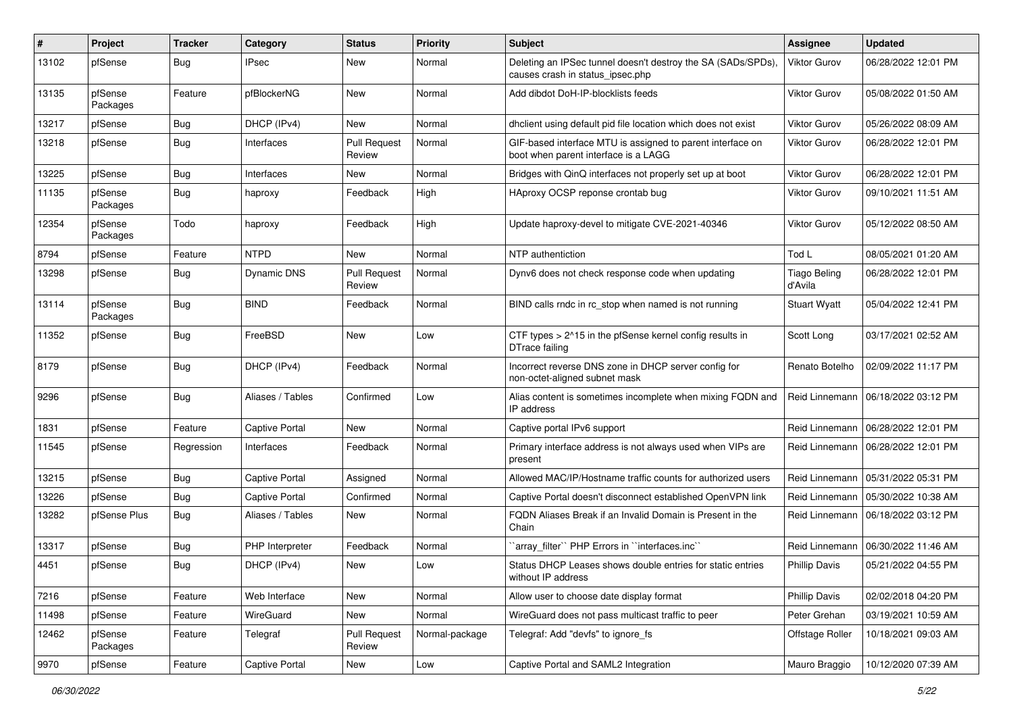| $\#$  | Project             | Tracker    | Category              | <b>Status</b>                 | <b>Priority</b> | <b>Subject</b>                                                                                     | <b>Assignee</b>                | <b>Updated</b>      |
|-------|---------------------|------------|-----------------------|-------------------------------|-----------------|----------------------------------------------------------------------------------------------------|--------------------------------|---------------------|
| 13102 | pfSense             | <b>Bug</b> | IPsec                 | New                           | Normal          | Deleting an IPSec tunnel doesn't destroy the SA (SADs/SPDs),<br>causes crash in status_ipsec.php   | Viktor Gurov                   | 06/28/2022 12:01 PM |
| 13135 | pfSense<br>Packages | Feature    | pfBlockerNG           | New                           | Normal          | Add dibdot DoH-IP-blocklists feeds                                                                 | <b>Viktor Gurov</b>            | 05/08/2022 01:50 AM |
| 13217 | pfSense             | <b>Bug</b> | DHCP (IPv4)           | New                           | Normal          | dhclient using default pid file location which does not exist                                      | <b>Viktor Gurov</b>            | 05/26/2022 08:09 AM |
| 13218 | pfSense             | <b>Bug</b> | Interfaces            | <b>Pull Request</b><br>Review | Normal          | GIF-based interface MTU is assigned to parent interface on<br>boot when parent interface is a LAGG | Viktor Gurov                   | 06/28/2022 12:01 PM |
| 13225 | pfSense             | <b>Bug</b> | Interfaces            | New                           | Normal          | Bridges with QinQ interfaces not properly set up at boot                                           | <b>Viktor Gurov</b>            | 06/28/2022 12:01 PM |
| 11135 | pfSense<br>Packages | <b>Bug</b> | haproxy               | Feedback                      | High            | HAproxy OCSP reponse crontab bug                                                                   | Viktor Gurov                   | 09/10/2021 11:51 AM |
| 12354 | pfSense<br>Packages | Todo       | haproxy               | Feedback                      | High            | Update haproxy-devel to mitigate CVE-2021-40346                                                    | Viktor Gurov                   | 05/12/2022 08:50 AM |
| 8794  | pfSense             | Feature    | <b>NTPD</b>           | <b>New</b>                    | Normal          | NTP authentiction                                                                                  | Tod L                          | 08/05/2021 01:20 AM |
| 13298 | pfSense             | Bug        | Dynamic DNS           | <b>Pull Request</b><br>Review | Normal          | Dynv6 does not check response code when updating                                                   | <b>Tiago Beling</b><br>d'Avila | 06/28/2022 12:01 PM |
| 13114 | pfSense<br>Packages | <b>Bug</b> | <b>BIND</b>           | Feedback                      | Normal          | BIND calls rndc in rc_stop when named is not running                                               | <b>Stuart Wyatt</b>            | 05/04/2022 12:41 PM |
| 11352 | pfSense             | <b>Bug</b> | FreeBSD               | New                           | Low             | CTF types > 2^15 in the pfSense kernel config results in<br>DTrace failing                         | Scott Long                     | 03/17/2021 02:52 AM |
| 8179  | pfSense             | <b>Bug</b> | DHCP (IPv4)           | Feedback                      | Normal          | Incorrect reverse DNS zone in DHCP server config for<br>non-octet-aligned subnet mask              | Renato Botelho                 | 02/09/2022 11:17 PM |
| 9296  | pfSense             | <b>Bug</b> | Aliases / Tables      | Confirmed                     | Low             | Alias content is sometimes incomplete when mixing FQDN and<br>IP address                           | Reid Linnemann                 | 06/18/2022 03:12 PM |
| 1831  | pfSense             | Feature    | <b>Captive Portal</b> | <b>New</b>                    | Normal          | Captive portal IPv6 support                                                                        | Reid Linnemann                 | 06/28/2022 12:01 PM |
| 11545 | pfSense             | Regression | Interfaces            | Feedback                      | Normal          | Primary interface address is not always used when VIPs are<br>present                              | Reid Linnemann                 | 06/28/2022 12:01 PM |
| 13215 | pfSense             | <b>Bug</b> | Captive Portal        | Assigned                      | Normal          | Allowed MAC/IP/Hostname traffic counts for authorized users                                        | Reid Linnemann                 | 05/31/2022 05:31 PM |
| 13226 | pfSense             | <b>Bug</b> | Captive Portal        | Confirmed                     | Normal          | Captive Portal doesn't disconnect established OpenVPN link                                         | Reid Linnemann                 | 05/30/2022 10:38 AM |
| 13282 | pfSense Plus        | <b>Bug</b> | Aliases / Tables      | New                           | Normal          | FQDN Aliases Break if an Invalid Domain is Present in the<br>Chain                                 | Reid Linnemann                 | 06/18/2022 03:12 PM |
| 13317 | pfSense             | <b>Bug</b> | PHP Interpreter       | Feedback                      | Normal          | `array_filter`` PHP Errors in ``interfaces.inc``                                                   | Reid Linnemann                 | 06/30/2022 11:46 AM |
| 4451  | pfSense             | <b>Bug</b> | DHCP (IPv4)           | New                           | Low             | Status DHCP Leases shows double entries for static entries<br>without IP address                   | <b>Phillip Davis</b>           | 05/21/2022 04:55 PM |
| 7216  | pfSense             | Feature    | Web Interface         | New                           | Normal          | Allow user to choose date display format                                                           | Phillip Davis                  | 02/02/2018 04:20 PM |
| 11498 | pfSense             | Feature    | WireGuard             | New                           | Normal          | WireGuard does not pass multicast traffic to peer                                                  | Peter Grehan                   | 03/19/2021 10:59 AM |
| 12462 | pfSense<br>Packages | Feature    | Telegraf              | <b>Pull Request</b><br>Review | Normal-package  | Telegraf: Add "devfs" to ignore_fs                                                                 | Offstage Roller                | 10/18/2021 09:03 AM |
| 9970  | pfSense             | Feature    | <b>Captive Portal</b> | New                           | Low             | Captive Portal and SAML2 Integration                                                               | Mauro Braggio                  | 10/12/2020 07:39 AM |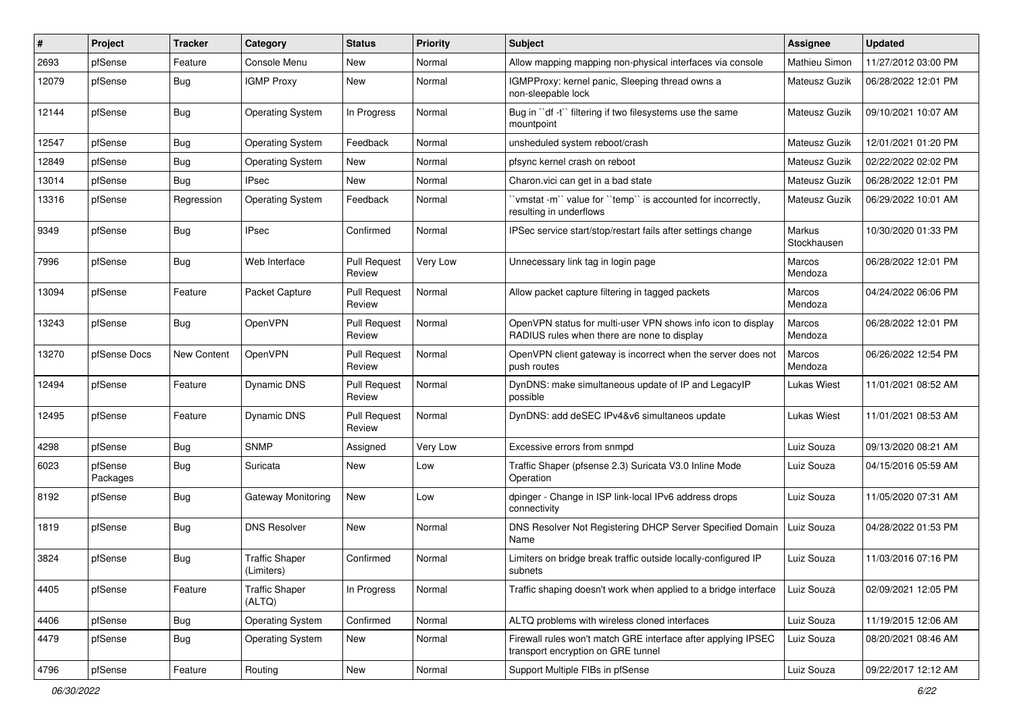| #     | Project             | Tracker            | Category                            | <b>Status</b>                 | <b>Priority</b> | Subject                                                                                                     | <b>Assignee</b>              | <b>Updated</b>      |
|-------|---------------------|--------------------|-------------------------------------|-------------------------------|-----------------|-------------------------------------------------------------------------------------------------------------|------------------------------|---------------------|
| 2693  | pfSense             | Feature            | Console Menu                        | New                           | Normal          | Allow mapping mapping non-physical interfaces via console                                                   | Mathieu Simon                | 11/27/2012 03:00 PM |
| 12079 | pfSense             | Bug                | <b>IGMP Proxy</b>                   | New                           | Normal          | IGMPProxy: kernel panic, Sleeping thread owns a<br>non-sleepable lock                                       | Mateusz Guzik                | 06/28/2022 12:01 PM |
| 12144 | pfSense             | Bug                | <b>Operating System</b>             | In Progress                   | Normal          | Bug in "df -t" filtering if two filesystems use the same<br>mountpoint                                      | Mateusz Guzik                | 09/10/2021 10:07 AM |
| 12547 | pfSense             | <b>Bug</b>         | <b>Operating System</b>             | Feedback                      | Normal          | unsheduled system reboot/crash                                                                              | Mateusz Guzik                | 12/01/2021 01:20 PM |
| 12849 | pfSense             | Bug                | <b>Operating System</b>             | New                           | Normal          | pfsync kernel crash on reboot                                                                               | Mateusz Guzik                | 02/22/2022 02:02 PM |
| 13014 | pfSense             | Bug                | <b>IPsec</b>                        | <b>New</b>                    | Normal          | Charon.vici can get in a bad state                                                                          | Mateusz Guzik                | 06/28/2022 12:01 PM |
| 13316 | pfSense             | Regression         | <b>Operating System</b>             | Feedback                      | Normal          | 'vmstat -m'' value for ''temp'' is accounted for incorrectly,<br>resulting in underflows                    | Mateusz Guzik                | 06/29/2022 10:01 AM |
| 9349  | pfSense             | <b>Bug</b>         | <b>IPsec</b>                        | Confirmed                     | Normal          | IPSec service start/stop/restart fails after settings change                                                | <b>Markus</b><br>Stockhausen | 10/30/2020 01:33 PM |
| 7996  | pfSense             | Bug                | Web Interface                       | <b>Pull Request</b><br>Review | Very Low        | Unnecessary link tag in login page                                                                          | Marcos<br>Mendoza            | 06/28/2022 12:01 PM |
| 13094 | pfSense             | Feature            | Packet Capture                      | <b>Pull Request</b><br>Review | Normal          | Allow packet capture filtering in tagged packets                                                            | Marcos<br>Mendoza            | 04/24/2022 06:06 PM |
| 13243 | pfSense             | Bug                | OpenVPN                             | <b>Pull Request</b><br>Review | Normal          | OpenVPN status for multi-user VPN shows info icon to display<br>RADIUS rules when there are none to display | Marcos<br>Mendoza            | 06/28/2022 12:01 PM |
| 13270 | pfSense Docs        | <b>New Content</b> | OpenVPN                             | <b>Pull Request</b><br>Review | Normal          | OpenVPN client gateway is incorrect when the server does not<br>push routes                                 | Marcos<br>Mendoza            | 06/26/2022 12:54 PM |
| 12494 | pfSense             | Feature            | Dynamic DNS                         | <b>Pull Request</b><br>Review | Normal          | DynDNS: make simultaneous update of IP and LegacyIP<br>possible                                             | Lukas Wiest                  | 11/01/2021 08:52 AM |
| 12495 | pfSense             | Feature            | Dynamic DNS                         | <b>Pull Request</b><br>Review | Normal          | DynDNS: add deSEC IPv4&v6 simultaneos update                                                                | Lukas Wiest                  | 11/01/2021 08:53 AM |
| 4298  | pfSense             | Bug                | <b>SNMP</b>                         | Assigned                      | Very Low        | Excessive errors from snmpd                                                                                 | Luiz Souza                   | 09/13/2020 08:21 AM |
| 6023  | pfSense<br>Packages | Bug                | Suricata                            | New                           | Low             | Traffic Shaper (pfsense 2.3) Suricata V3.0 Inline Mode<br>Operation                                         | Luiz Souza                   | 04/15/2016 05:59 AM |
| 8192  | pfSense             | Bug                | Gateway Monitoring                  | New                           | Low             | dpinger - Change in ISP link-local IPv6 address drops<br>connectivity                                       | Luiz Souza                   | 11/05/2020 07:31 AM |
| 1819  | pfSense             | <b>Bug</b>         | <b>DNS Resolver</b>                 | <b>New</b>                    | Normal          | DNS Resolver Not Registering DHCP Server Specified Domain<br>Name                                           | Luiz Souza                   | 04/28/2022 01:53 PM |
| 3824  | pfSense             | Bug                | <b>Traffic Shaper</b><br>(Limiters) | Confirmed                     | Normal          | Limiters on bridge break traffic outside locally-configured IP<br>subnets                                   | Luiz Souza                   | 11/03/2016 07:16 PM |
| 4405  | pfSense             | Feature            | <b>Traffic Shaper</b><br>(ALTQ)     | In Progress                   | Normal          | Traffic shaping doesn't work when applied to a bridge interface                                             | Luiz Souza                   | 02/09/2021 12:05 PM |
| 4406  | pfSense             | <b>Bug</b>         | <b>Operating System</b>             | Confirmed                     | Normal          | ALTQ problems with wireless cloned interfaces                                                               | Luiz Souza                   | 11/19/2015 12:06 AM |
| 4479  | pfSense             | <b>Bug</b>         | <b>Operating System</b>             | New                           | Normal          | Firewall rules won't match GRE interface after applying IPSEC<br>transport encryption on GRE tunnel         | Luiz Souza                   | 08/20/2021 08:46 AM |
| 4796  | pfSense             | Feature            | Routing                             | New                           | Normal          | Support Multiple FIBs in pfSense                                                                            | Luiz Souza                   | 09/22/2017 12:12 AM |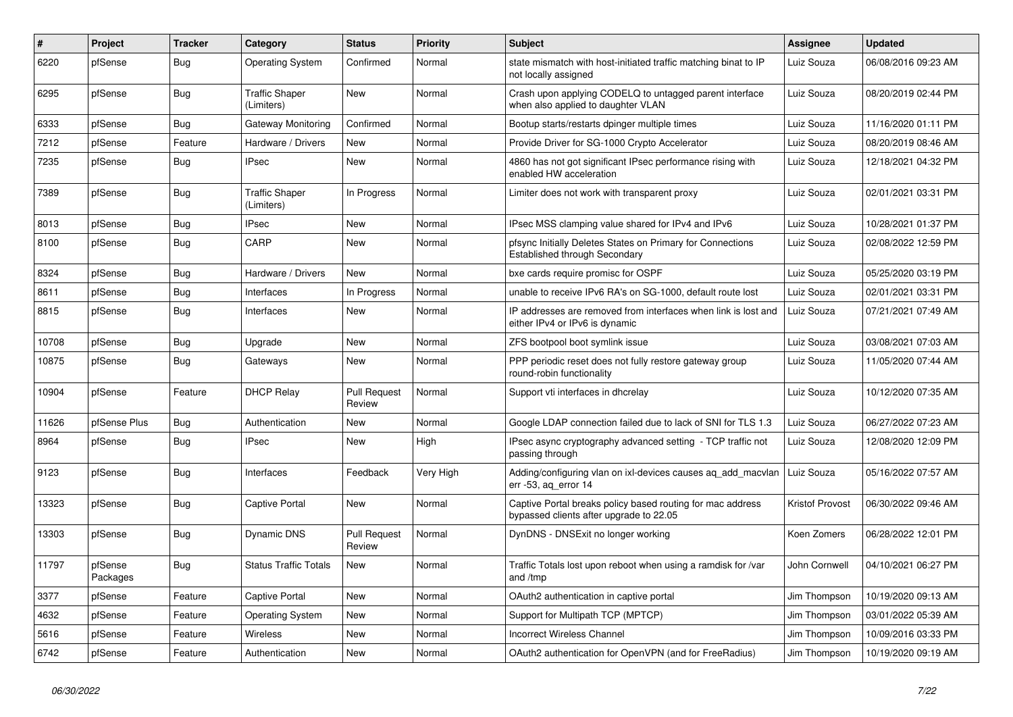| #     | Project             | <b>Tracker</b> | Category                            | <b>Status</b>                 | <b>Priority</b> | <b>Subject</b>                                                                                        | Assignee        | <b>Updated</b>      |
|-------|---------------------|----------------|-------------------------------------|-------------------------------|-----------------|-------------------------------------------------------------------------------------------------------|-----------------|---------------------|
| 6220  | pfSense             | Bug            | <b>Operating System</b>             | Confirmed                     | Normal          | state mismatch with host-initiated traffic matching binat to IP<br>not locally assigned               | Luiz Souza      | 06/08/2016 09:23 AM |
| 6295  | pfSense             | Bug            | <b>Traffic Shaper</b><br>(Limiters) | New                           | Normal          | Crash upon applying CODELQ to untagged parent interface<br>when also applied to daughter VLAN         | Luiz Souza      | 08/20/2019 02:44 PM |
| 6333  | pfSense             | <b>Bug</b>     | Gateway Monitoring                  | Confirmed                     | Normal          | Bootup starts/restarts dpinger multiple times                                                         | Luiz Souza      | 11/16/2020 01:11 PM |
| 7212  | pfSense             | Feature        | Hardware / Drivers                  | New                           | Normal          | Provide Driver for SG-1000 Crypto Accelerator                                                         | Luiz Souza      | 08/20/2019 08:46 AM |
| 7235  | pfSense             | Bug            | <b>IPsec</b>                        | <b>New</b>                    | Normal          | 4860 has not got significant IPsec performance rising with<br>enabled HW acceleration                 | Luiz Souza      | 12/18/2021 04:32 PM |
| 7389  | pfSense             | Bug            | <b>Traffic Shaper</b><br>(Limiters) | In Progress                   | Normal          | Limiter does not work with transparent proxy                                                          | Luiz Souza      | 02/01/2021 03:31 PM |
| 8013  | pfSense             | Bug            | <b>IPsec</b>                        | New                           | Normal          | IPsec MSS clamping value shared for IPv4 and IPv6                                                     | Luiz Souza      | 10/28/2021 01:37 PM |
| 8100  | pfSense             | Bug            | CARP                                | New                           | Normal          | pfsync Initially Deletes States on Primary for Connections<br>Established through Secondary           | Luiz Souza      | 02/08/2022 12:59 PM |
| 8324  | pfSense             | <b>Bug</b>     | Hardware / Drivers                  | New                           | Normal          | bxe cards require promisc for OSPF                                                                    | Luiz Souza      | 05/25/2020 03:19 PM |
| 8611  | pfSense             | <b>Bug</b>     | Interfaces                          | In Progress                   | Normal          | unable to receive IPv6 RA's on SG-1000, default route lost                                            | Luiz Souza      | 02/01/2021 03:31 PM |
| 8815  | pfSense             | <b>Bug</b>     | Interfaces                          | New                           | Normal          | IP addresses are removed from interfaces when link is lost and<br>either IPv4 or IPv6 is dynamic      | Luiz Souza      | 07/21/2021 07:49 AM |
| 10708 | pfSense             | <b>Bug</b>     | Upgrade                             | <b>New</b>                    | Normal          | ZFS bootpool boot symlink issue                                                                       | Luiz Souza      | 03/08/2021 07:03 AM |
| 10875 | pfSense             | <b>Bug</b>     | Gateways                            | <b>New</b>                    | Normal          | PPP periodic reset does not fully restore gateway group<br>round-robin functionality                  | Luiz Souza      | 11/05/2020 07:44 AM |
| 10904 | pfSense             | Feature        | <b>DHCP Relay</b>                   | <b>Pull Request</b><br>Review | Normal          | Support vti interfaces in dhcrelay                                                                    | Luiz Souza      | 10/12/2020 07:35 AM |
| 11626 | pfSense Plus        | <b>Bug</b>     | Authentication                      | New                           | Normal          | Google LDAP connection failed due to lack of SNI for TLS 1.3                                          | Luiz Souza      | 06/27/2022 07:23 AM |
| 8964  | pfSense             | Bug            | <b>IPsec</b>                        | New                           | High            | IPsec async cryptography advanced setting - TCP traffic not<br>passing through                        | Luiz Souza      | 12/08/2020 12:09 PM |
| 9123  | pfSense             | <b>Bug</b>     | Interfaces                          | Feedback                      | Very High       | Adding/configuring vlan on ixl-devices causes aq_add_macvlan<br>err -53, aq_error 14                  | Luiz Souza      | 05/16/2022 07:57 AM |
| 13323 | pfSense             | Bug            | <b>Captive Portal</b>               | <b>New</b>                    | Normal          | Captive Portal breaks policy based routing for mac address<br>bypassed clients after upgrade to 22.05 | Kristof Provost | 06/30/2022 09:46 AM |
| 13303 | pfSense             | <b>Bug</b>     | Dynamic DNS                         | <b>Pull Request</b><br>Review | Normal          | DynDNS - DNSExit no longer working                                                                    | Koen Zomers     | 06/28/2022 12:01 PM |
| 11797 | pfSense<br>Packages | <b>Bug</b>     | <b>Status Traffic Totals</b>        | New                           | Normal          | Traffic Totals lost upon reboot when using a ramdisk for /var<br>and /tmp                             | John Cornwell   | 04/10/2021 06:27 PM |
| 3377  | pfSense             | Feature        | <b>Captive Portal</b>               | New                           | Normal          | OAuth2 authentication in captive portal                                                               | Jim Thompson    | 10/19/2020 09:13 AM |
| 4632  | pfSense             | Feature        | <b>Operating System</b>             | <b>New</b>                    | Normal          | Support for Multipath TCP (MPTCP)                                                                     | Jim Thompson    | 03/01/2022 05:39 AM |
| 5616  | pfSense             | Feature        | Wireless                            | <b>New</b>                    | Normal          | <b>Incorrect Wireless Channel</b>                                                                     | Jim Thompson    | 10/09/2016 03:33 PM |
| 6742  | pfSense             | Feature        | Authentication                      | New                           | Normal          | OAuth2 authentication for OpenVPN (and for FreeRadius)                                                | Jim Thompson    | 10/19/2020 09:19 AM |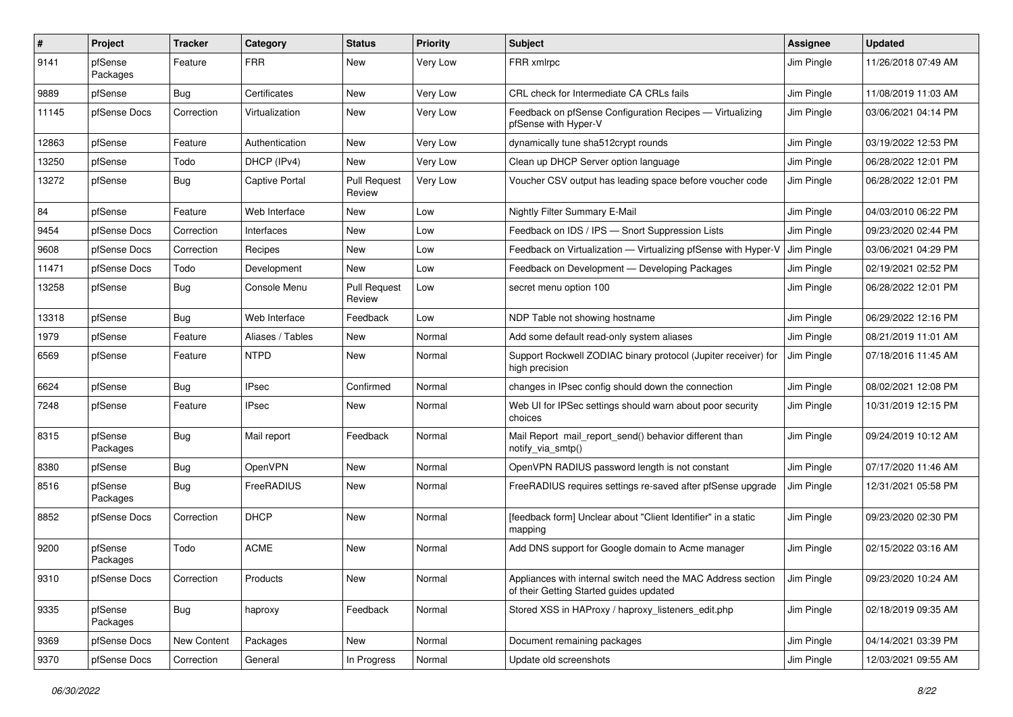| $\pmb{\#}$ | Project             | <b>Tracker</b> | Category              | <b>Status</b>                 | <b>Priority</b> | <b>Subject</b>                                                                                          | Assignee   | <b>Updated</b>      |
|------------|---------------------|----------------|-----------------------|-------------------------------|-----------------|---------------------------------------------------------------------------------------------------------|------------|---------------------|
| 9141       | pfSense<br>Packages | Feature        | <b>FRR</b>            | New                           | Very Low        | FRR xmlrpc                                                                                              | Jim Pingle | 11/26/2018 07:49 AM |
| 9889       | pfSense             | Bug            | Certificates          | New                           | Very Low        | CRL check for Intermediate CA CRLs fails                                                                | Jim Pingle | 11/08/2019 11:03 AM |
| 11145      | pfSense Docs        | Correction     | Virtualization        | New                           | Very Low        | Feedback on pfSense Configuration Recipes - Virtualizing<br>pfSense with Hyper-V                        | Jim Pingle | 03/06/2021 04:14 PM |
| 12863      | pfSense             | Feature        | Authentication        | New                           | Very Low        | dynamically tune sha512crypt rounds                                                                     | Jim Pingle | 03/19/2022 12:53 PM |
| 13250      | pfSense             | Todo           | DHCP (IPv4)           | <b>New</b>                    | Very Low        | Clean up DHCP Server option language                                                                    | Jim Pingle | 06/28/2022 12:01 PM |
| 13272      | pfSense             | Bug            | <b>Captive Portal</b> | <b>Pull Request</b><br>Review | Very Low        | Voucher CSV output has leading space before voucher code                                                | Jim Pingle | 06/28/2022 12:01 PM |
| 84         | pfSense             | Feature        | Web Interface         | <b>New</b>                    | Low             | Nightly Filter Summary E-Mail                                                                           | Jim Pingle | 04/03/2010 06:22 PM |
| 9454       | pfSense Docs        | Correction     | Interfaces            | New                           | Low             | Feedback on IDS / IPS - Snort Suppression Lists                                                         | Jim Pingle | 09/23/2020 02:44 PM |
| 9608       | pfSense Docs        | Correction     | Recipes               | New                           | Low             | Feedback on Virtualization - Virtualizing pfSense with Hyper-V                                          | Jim Pingle | 03/06/2021 04:29 PM |
| 11471      | pfSense Docs        | Todo           | Development           | New                           | Low             | Feedback on Development - Developing Packages                                                           | Jim Pingle | 02/19/2021 02:52 PM |
| 13258      | pfSense             | <b>Bug</b>     | Console Menu          | <b>Pull Request</b><br>Review | Low             | secret menu option 100                                                                                  | Jim Pingle | 06/28/2022 12:01 PM |
| 13318      | pfSense             | Bug            | Web Interface         | Feedback                      | Low             | NDP Table not showing hostname                                                                          | Jim Pingle | 06/29/2022 12:16 PM |
| 1979       | pfSense             | Feature        | Aliases / Tables      | New                           | Normal          | Add some default read-only system aliases                                                               | Jim Pingle | 08/21/2019 11:01 AM |
| 6569       | pfSense             | Feature        | <b>NTPD</b>           | New                           | Normal          | Support Rockwell ZODIAC binary protocol (Jupiter receiver) for<br>high precision                        | Jim Pingle | 07/18/2016 11:45 AM |
| 6624       | pfSense             | <b>Bug</b>     | <b>IPsec</b>          | Confirmed                     | Normal          | changes in IPsec config should down the connection                                                      | Jim Pingle | 08/02/2021 12:08 PM |
| 7248       | pfSense             | Feature        | <b>IPsec</b>          | New                           | Normal          | Web UI for IPSec settings should warn about poor security<br>choices                                    | Jim Pingle | 10/31/2019 12:15 PM |
| 8315       | pfSense<br>Packages | Bug            | Mail report           | Feedback                      | Normal          | Mail Report mail_report_send() behavior different than<br>notify_via_smtp()                             | Jim Pingle | 09/24/2019 10:12 AM |
| 8380       | pfSense             | <b>Bug</b>     | OpenVPN               | New                           | Normal          | OpenVPN RADIUS password length is not constant                                                          | Jim Pingle | 07/17/2020 11:46 AM |
| 8516       | pfSense<br>Packages | Bug            | FreeRADIUS            | <b>New</b>                    | Normal          | FreeRADIUS requires settings re-saved after pfSense upgrade                                             | Jim Pingle | 12/31/2021 05:58 PM |
| 8852       | pfSense Docs        | Correction     | <b>DHCP</b>           | <b>New</b>                    | Normal          | [feedback form] Unclear about "Client Identifier" in a static<br>mapping                                | Jim Pingle | 09/23/2020 02:30 PM |
| 9200       | pfSense<br>Packages | Todo           | <b>ACME</b>           | New                           | Normal          | Add DNS support for Google domain to Acme manager                                                       | Jim Pingle | 02/15/2022 03:16 AM |
| 9310       | pfSense Docs        | Correction     | Products              | New                           | Normal          | Appliances with internal switch need the MAC Address section<br>of their Getting Started guides updated | Jim Pingle | 09/23/2020 10:24 AM |
| 9335       | pfSense<br>Packages | <b>Bug</b>     | haproxy               | Feedback                      | Normal          | Stored XSS in HAProxy / haproxy listeners edit.php                                                      | Jim Pingle | 02/18/2019 09:35 AM |
| 9369       | pfSense Docs        | New Content    | Packages              | New                           | Normal          | Document remaining packages                                                                             | Jim Pingle | 04/14/2021 03:39 PM |
| 9370       | pfSense Docs        | Correction     | General               | In Progress                   | Normal          | Update old screenshots                                                                                  | Jim Pingle | 12/03/2021 09:55 AM |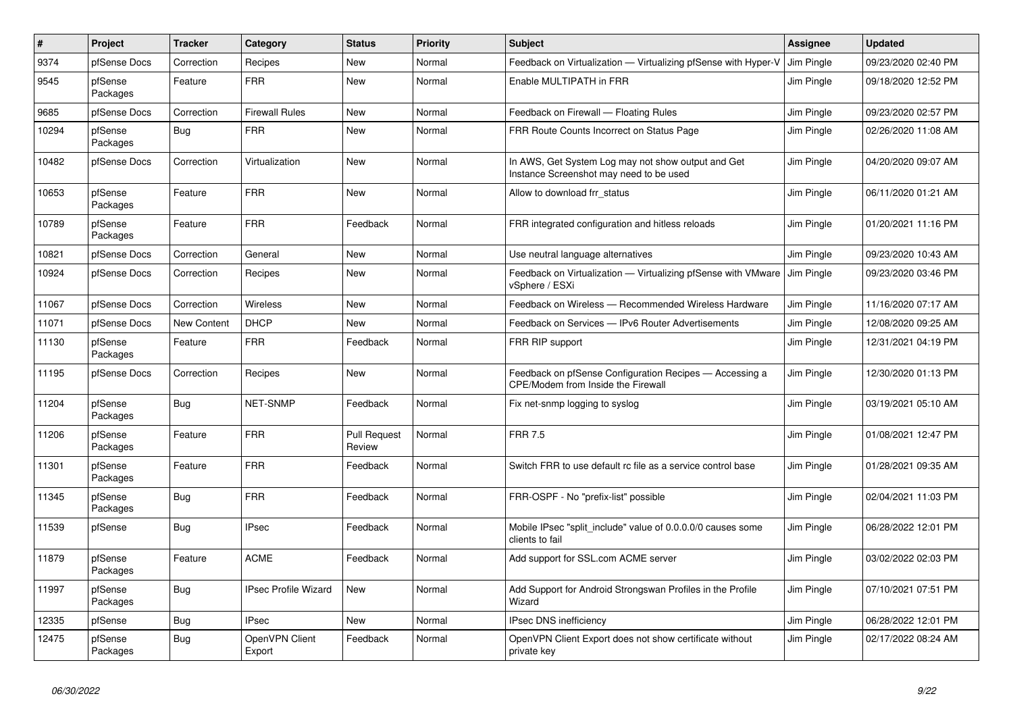| #     | Project             | <b>Tracker</b> | Category                    | <b>Status</b>                 | <b>Priority</b> | <b>Subject</b>                                                                                | <b>Assignee</b>   | <b>Updated</b>      |
|-------|---------------------|----------------|-----------------------------|-------------------------------|-----------------|-----------------------------------------------------------------------------------------------|-------------------|---------------------|
| 9374  | pfSense Docs        | Correction     | Recipes                     | New                           | Normal          | Feedback on Virtualization - Virtualizing pfSense with Hyper-V                                | <b>Jim Pingle</b> | 09/23/2020 02:40 PM |
| 9545  | pfSense<br>Packages | Feature        | <b>FRR</b>                  | <b>New</b>                    | Normal          | Enable MULTIPATH in FRR                                                                       | Jim Pingle        | 09/18/2020 12:52 PM |
| 9685  | pfSense Docs        | Correction     | <b>Firewall Rules</b>       | New                           | Normal          | Feedback on Firewall - Floating Rules                                                         | Jim Pingle        | 09/23/2020 02:57 PM |
| 10294 | pfSense<br>Packages | <b>Bug</b>     | <b>FRR</b>                  | New                           | Normal          | FRR Route Counts Incorrect on Status Page                                                     | Jim Pingle        | 02/26/2020 11:08 AM |
| 10482 | pfSense Docs        | Correction     | Virtualization              | New                           | Normal          | In AWS, Get System Log may not show output and Get<br>Instance Screenshot may need to be used | Jim Pingle        | 04/20/2020 09:07 AM |
| 10653 | pfSense<br>Packages | Feature        | <b>FRR</b>                  | New                           | Normal          | Allow to download frr status                                                                  | Jim Pingle        | 06/11/2020 01:21 AM |
| 10789 | pfSense<br>Packages | Feature        | <b>FRR</b>                  | Feedback                      | Normal          | FRR integrated configuration and hitless reloads                                              | Jim Pingle        | 01/20/2021 11:16 PM |
| 10821 | pfSense Docs        | Correction     | General                     | New                           | Normal          | Use neutral language alternatives                                                             | Jim Pingle        | 09/23/2020 10:43 AM |
| 10924 | pfSense Docs        | Correction     | Recipes                     | New                           | Normal          | Feedback on Virtualization - Virtualizing pfSense with VMware<br>vSphere / ESXi               | Jim Pingle        | 09/23/2020 03:46 PM |
| 11067 | pfSense Docs        | Correction     | Wireless                    | New                           | Normal          | Feedback on Wireless - Recommended Wireless Hardware                                          | Jim Pingle        | 11/16/2020 07:17 AM |
| 11071 | pfSense Docs        | New Content    | <b>DHCP</b>                 | New                           | Normal          | Feedback on Services - IPv6 Router Advertisements                                             | Jim Pingle        | 12/08/2020 09:25 AM |
| 11130 | pfSense<br>Packages | Feature        | <b>FRR</b>                  | Feedback                      | Normal          | FRR RIP support                                                                               | Jim Pingle        | 12/31/2021 04:19 PM |
| 11195 | pfSense Docs        | Correction     | Recipes                     | <b>New</b>                    | Normal          | Feedback on pfSense Configuration Recipes - Accessing a<br>CPE/Modem from Inside the Firewall | Jim Pingle        | 12/30/2020 01:13 PM |
| 11204 | pfSense<br>Packages | Bug            | <b>NET-SNMP</b>             | Feedback                      | Normal          | Fix net-snmp logging to syslog                                                                | Jim Pingle        | 03/19/2021 05:10 AM |
| 11206 | pfSense<br>Packages | Feature        | <b>FRR</b>                  | <b>Pull Request</b><br>Review | Normal          | <b>FRR 7.5</b>                                                                                | Jim Pingle        | 01/08/2021 12:47 PM |
| 11301 | pfSense<br>Packages | Feature        | <b>FRR</b>                  | Feedback                      | Normal          | Switch FRR to use default rc file as a service control base                                   | Jim Pingle        | 01/28/2021 09:35 AM |
| 11345 | pfSense<br>Packages | Bug            | <b>FRR</b>                  | Feedback                      | Normal          | FRR-OSPF - No "prefix-list" possible                                                          | Jim Pingle        | 02/04/2021 11:03 PM |
| 11539 | pfSense             | <b>Bug</b>     | <b>IPsec</b>                | Feedback                      | Normal          | Mobile IPsec "split include" value of 0.0.0.0/0 causes some<br>clients to fail                | Jim Pingle        | 06/28/2022 12:01 PM |
| 11879 | pfSense<br>Packages | Feature        | <b>ACME</b>                 | Feedback                      | Normal          | Add support for SSL.com ACME server                                                           | Jim Pingle        | 03/02/2022 02:03 PM |
| 11997 | pfSense<br>Packages | <b>Bug</b>     | <b>IPsec Profile Wizard</b> | <b>New</b>                    | Normal          | Add Support for Android Strongswan Profiles in the Profile<br>Wizard                          | Jim Pingle        | 07/10/2021 07:51 PM |
| 12335 | pfSense             | Bug            | <b>IPsec</b>                | New                           | Normal          | <b>IPsec DNS inefficiency</b>                                                                 | Jim Pingle        | 06/28/2022 12:01 PM |
| 12475 | pfSense<br>Packages | Bug            | OpenVPN Client<br>Export    | Feedback                      | Normal          | OpenVPN Client Export does not show certificate without<br>private key                        | Jim Pingle        | 02/17/2022 08:24 AM |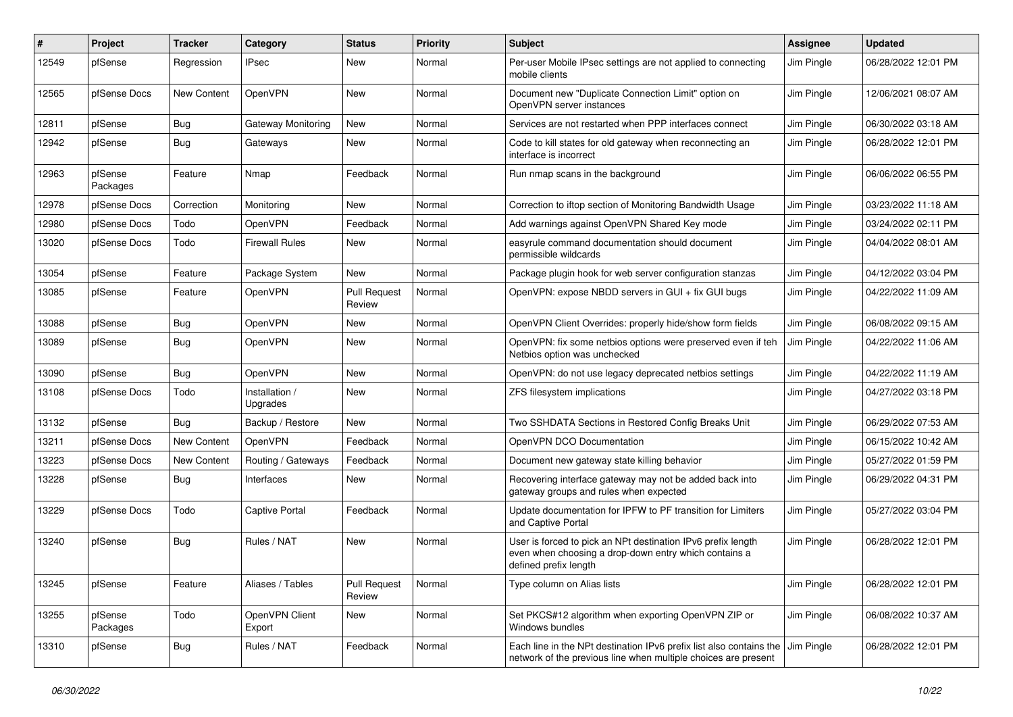| ∦     | Project             | <b>Tracker</b> | Category                   | <b>Status</b>                 | <b>Priority</b> | <b>Subject</b>                                                                                                                                 | <b>Assignee</b> | <b>Updated</b>      |
|-------|---------------------|----------------|----------------------------|-------------------------------|-----------------|------------------------------------------------------------------------------------------------------------------------------------------------|-----------------|---------------------|
| 12549 | pfSense             | Regression     | IPsec                      | New                           | Normal          | Per-user Mobile IPsec settings are not applied to connecting<br>mobile clients                                                                 | Jim Pingle      | 06/28/2022 12:01 PM |
| 12565 | pfSense Docs        | New Content    | OpenVPN                    | New                           | Normal          | Document new "Duplicate Connection Limit" option on<br>OpenVPN server instances                                                                | Jim Pingle      | 12/06/2021 08:07 AM |
| 12811 | pfSense             | <b>Bug</b>     | <b>Gateway Monitoring</b>  | New                           | Normal          | Services are not restarted when PPP interfaces connect                                                                                         | Jim Pingle      | 06/30/2022 03:18 AM |
| 12942 | pfSense             | <b>Bug</b>     | Gateways                   | New                           | Normal          | Code to kill states for old gateway when reconnecting an<br>interface is incorrect                                                             | Jim Pingle      | 06/28/2022 12:01 PM |
| 12963 | pfSense<br>Packages | Feature        | Nmap                       | Feedback                      | Normal          | Run nmap scans in the background                                                                                                               | Jim Pingle      | 06/06/2022 06:55 PM |
| 12978 | pfSense Docs        | Correction     | Monitoring                 | New                           | Normal          | Correction to iftop section of Monitoring Bandwidth Usage                                                                                      | Jim Pingle      | 03/23/2022 11:18 AM |
| 12980 | pfSense Docs        | Todo           | OpenVPN                    | Feedback                      | Normal          | Add warnings against OpenVPN Shared Key mode                                                                                                   | Jim Pingle      | 03/24/2022 02:11 PM |
| 13020 | pfSense Docs        | Todo           | <b>Firewall Rules</b>      | New                           | Normal          | easyrule command documentation should document<br>permissible wildcards                                                                        | Jim Pingle      | 04/04/2022 08:01 AM |
| 13054 | pfSense             | Feature        | Package System             | New                           | Normal          | Package plugin hook for web server configuration stanzas                                                                                       | Jim Pingle      | 04/12/2022 03:04 PM |
| 13085 | pfSense             | Feature        | OpenVPN                    | <b>Pull Request</b><br>Review | Normal          | OpenVPN: expose NBDD servers in GUI + fix GUI bugs                                                                                             | Jim Pingle      | 04/22/2022 11:09 AM |
| 13088 | pfSense             | <b>Bug</b>     | OpenVPN                    | New                           | Normal          | OpenVPN Client Overrides: properly hide/show form fields                                                                                       | Jim Pingle      | 06/08/2022 09:15 AM |
| 13089 | pfSense             | <b>Bug</b>     | OpenVPN                    | New                           | Normal          | OpenVPN: fix some netbios options were preserved even if teh<br>Netbios option was unchecked                                                   | Jim Pingle      | 04/22/2022 11:06 AM |
| 13090 | pfSense             | <b>Bug</b>     | OpenVPN                    | New                           | Normal          | OpenVPN: do not use legacy deprecated netbios settings                                                                                         | Jim Pingle      | 04/22/2022 11:19 AM |
| 13108 | pfSense Docs        | Todo           | Installation /<br>Upgrades | New                           | Normal          | ZFS filesystem implications                                                                                                                    | Jim Pingle      | 04/27/2022 03:18 PM |
| 13132 | pfSense             | <b>Bug</b>     | Backup / Restore           | New                           | Normal          | Two SSHDATA Sections in Restored Config Breaks Unit                                                                                            | Jim Pingle      | 06/29/2022 07:53 AM |
| 13211 | pfSense Docs        | New Content    | OpenVPN                    | Feedback                      | Normal          | OpenVPN DCO Documentation                                                                                                                      | Jim Pingle      | 06/15/2022 10:42 AM |
| 13223 | pfSense Docs        | New Content    | Routing / Gateways         | Feedback                      | Normal          | Document new gateway state killing behavior                                                                                                    | Jim Pingle      | 05/27/2022 01:59 PM |
| 13228 | pfSense             | <b>Bug</b>     | Interfaces                 | New                           | Normal          | Recovering interface gateway may not be added back into<br>gateway groups and rules when expected                                              | Jim Pingle      | 06/29/2022 04:31 PM |
| 13229 | pfSense Docs        | Todo           | <b>Captive Portal</b>      | Feedback                      | Normal          | Update documentation for IPFW to PF transition for Limiters<br>and Captive Portal                                                              | Jim Pingle      | 05/27/2022 03:04 PM |
| 13240 | pfSense             | Bug            | Rules / NAT                | New                           | Normal          | User is forced to pick an NPt destination IPv6 prefix length<br>even when choosing a drop-down entry which contains a<br>defined prefix length | Jim Pingle      | 06/28/2022 12:01 PM |
| 13245 | pfSense             | Feature        | Aliases / Tables           | <b>Pull Request</b><br>Review | Normal          | Type column on Alias lists                                                                                                                     | Jim Pingle      | 06/28/2022 12:01 PM |
| 13255 | pfSense<br>Packages | Todo           | OpenVPN Client<br>Export   | New                           | Normal          | Set PKCS#12 algorithm when exporting OpenVPN ZIP or<br>Windows bundles                                                                         | Jim Pingle      | 06/08/2022 10:37 AM |
| 13310 | pfSense             | <b>Bug</b>     | Rules / NAT                | Feedback                      | Normal          | Each line in the NPt destination IPv6 prefix list also contains the<br>network of the previous line when multiple choices are present          | Jim Pingle      | 06/28/2022 12:01 PM |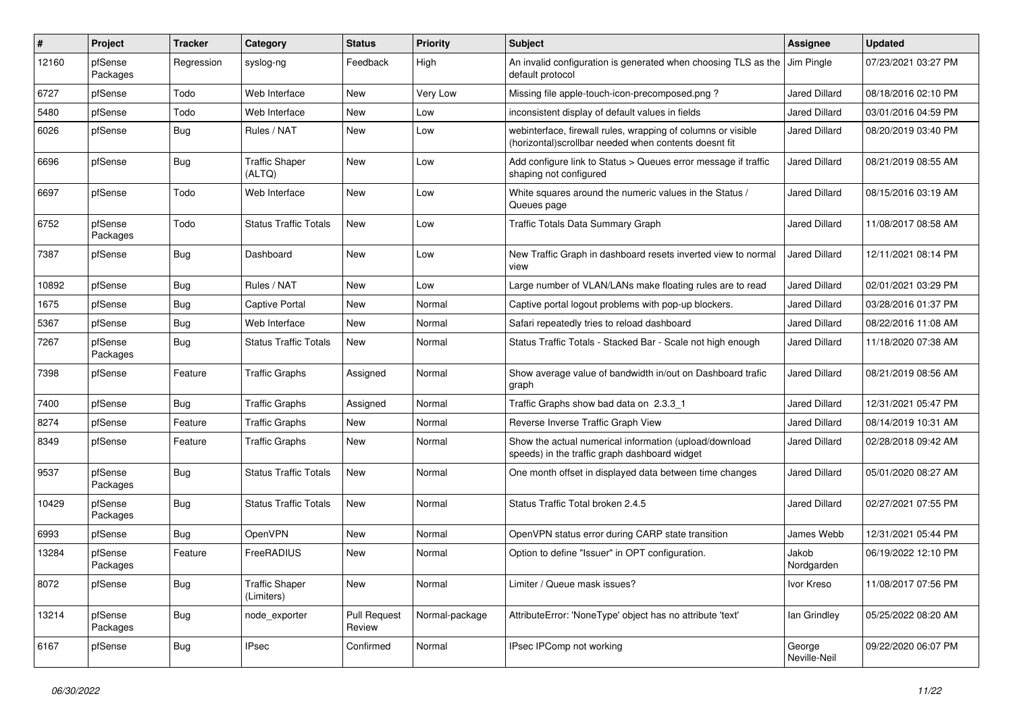| #     | Project             | <b>Tracker</b> | Category                            | <b>Status</b>                 | <b>Priority</b> | Subject                                                                                                                | <b>Assignee</b>        | <b>Updated</b>      |
|-------|---------------------|----------------|-------------------------------------|-------------------------------|-----------------|------------------------------------------------------------------------------------------------------------------------|------------------------|---------------------|
| 12160 | pfSense<br>Packages | Regression     | syslog-ng                           | Feedback                      | High            | An invalid configuration is generated when choosing TLS as the<br>default protocol                                     | Jim Pingle             | 07/23/2021 03:27 PM |
| 6727  | pfSense             | Todo           | Web Interface                       | New                           | Very Low        | Missing file apple-touch-icon-precomposed.png?                                                                         | <b>Jared Dillard</b>   | 08/18/2016 02:10 PM |
| 5480  | pfSense             | Todo           | Web Interface                       | New                           | Low             | inconsistent display of default values in fields                                                                       | <b>Jared Dillard</b>   | 03/01/2016 04:59 PM |
| 6026  | pfSense             | <b>Bug</b>     | Rules / NAT                         | New                           | Low             | webinterface, firewall rules, wrapping of columns or visible<br>(horizontal) scrollbar needed when contents doesnt fit | <b>Jared Dillard</b>   | 08/20/2019 03:40 PM |
| 6696  | pfSense             | <b>Bug</b>     | <b>Traffic Shaper</b><br>(ALTQ)     | New                           | Low             | Add configure link to Status > Queues error message if traffic<br>shaping not configured                               | <b>Jared Dillard</b>   | 08/21/2019 08:55 AM |
| 6697  | pfSense             | Todo           | Web Interface                       | <b>New</b>                    | Low             | White squares around the numeric values in the Status /<br>Queues page                                                 | Jared Dillard          | 08/15/2016 03:19 AM |
| 6752  | pfSense<br>Packages | Todo           | <b>Status Traffic Totals</b>        | <b>New</b>                    | Low             | Traffic Totals Data Summary Graph                                                                                      | Jared Dillard          | 11/08/2017 08:58 AM |
| 7387  | pfSense             | <b>Bug</b>     | Dashboard                           | New                           | Low             | New Traffic Graph in dashboard resets inverted view to normal<br>view                                                  | <b>Jared Dillard</b>   | 12/11/2021 08:14 PM |
| 10892 | pfSense             | <b>Bug</b>     | Rules / NAT                         | New                           | Low             | Large number of VLAN/LANs make floating rules are to read                                                              | <b>Jared Dillard</b>   | 02/01/2021 03:29 PM |
| 1675  | pfSense             | <b>Bug</b>     | <b>Captive Portal</b>               | New                           | Normal          | Captive portal logout problems with pop-up blockers.                                                                   | <b>Jared Dillard</b>   | 03/28/2016 01:37 PM |
| 5367  | pfSense             | <b>Bug</b>     | Web Interface                       | New                           | Normal          | Safari repeatedly tries to reload dashboard                                                                            | <b>Jared Dillard</b>   | 08/22/2016 11:08 AM |
| 7267  | pfSense<br>Packages | <b>Bug</b>     | <b>Status Traffic Totals</b>        | New                           | Normal          | Status Traffic Totals - Stacked Bar - Scale not high enough                                                            | <b>Jared Dillard</b>   | 11/18/2020 07:38 AM |
| 7398  | pfSense             | Feature        | <b>Traffic Graphs</b>               | Assigned                      | Normal          | Show average value of bandwidth in/out on Dashboard trafic<br>graph                                                    | <b>Jared Dillard</b>   | 08/21/2019 08:56 AM |
| 7400  | pfSense             | Bug            | <b>Traffic Graphs</b>               | Assigned                      | Normal          | Traffic Graphs show bad data on 2.3.3 1                                                                                | <b>Jared Dillard</b>   | 12/31/2021 05:47 PM |
| 8274  | pfSense             | Feature        | <b>Traffic Graphs</b>               | New                           | Normal          | Reverse Inverse Traffic Graph View                                                                                     | <b>Jared Dillard</b>   | 08/14/2019 10:31 AM |
| 8349  | pfSense             | Feature        | Traffic Graphs                      | New                           | Normal          | Show the actual numerical information (upload/download<br>speeds) in the traffic graph dashboard widget                | Jared Dillard          | 02/28/2018 09:42 AM |
| 9537  | pfSense<br>Packages | <b>Bug</b>     | <b>Status Traffic Totals</b>        | <b>New</b>                    | Normal          | One month offset in displayed data between time changes                                                                | <b>Jared Dillard</b>   | 05/01/2020 08:27 AM |
| 10429 | pfSense<br>Packages | Bug            | <b>Status Traffic Totals</b>        | <b>New</b>                    | Normal          | Status Traffic Total broken 2.4.5                                                                                      | Jared Dillard          | 02/27/2021 07:55 PM |
| 6993  | pfSense             | <b>Bug</b>     | OpenVPN                             | <b>New</b>                    | Normal          | OpenVPN status error during CARP state transition                                                                      | James Webb             | 12/31/2021 05:44 PM |
| 13284 | pfSense<br>Packages | Feature        | FreeRADIUS                          | New                           | Normal          | Option to define "Issuer" in OPT configuration.                                                                        | Jakob<br>Nordgarden    | 06/19/2022 12:10 PM |
| 8072  | pfSense             | <b>Bug</b>     | <b>Traffic Shaper</b><br>(Limiters) | New                           | Normal          | Limiter / Queue mask issues?                                                                                           | Ivor Kreso             | 11/08/2017 07:56 PM |
| 13214 | pfSense<br>Packages | Bug            | node_exporter                       | <b>Pull Request</b><br>Review | Normal-package  | AttributeError: 'NoneType' object has no attribute 'text'                                                              | lan Grindley           | 05/25/2022 08:20 AM |
| 6167  | pfSense             | <b>Bug</b>     | IPsec                               | Confirmed                     | Normal          | IPsec IPComp not working                                                                                               | George<br>Neville-Neil | 09/22/2020 06:07 PM |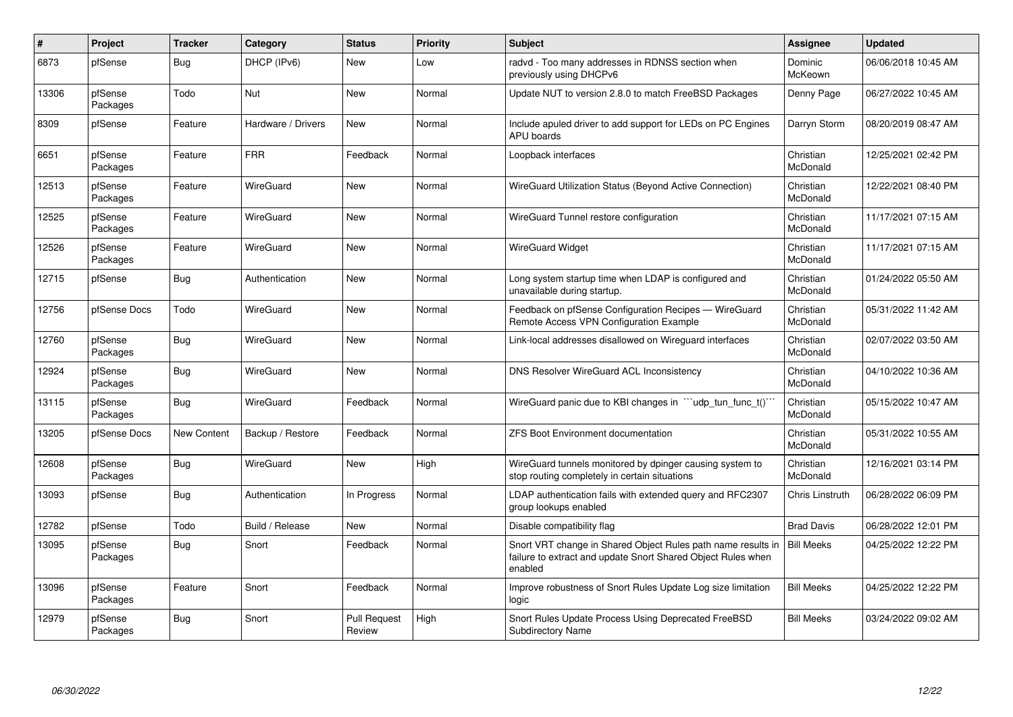| #     | <b>Project</b>      | <b>Tracker</b>     | Category           | <b>Status</b>                 | <b>Priority</b> | <b>Subject</b>                                                                                                                          | <b>Assignee</b>        | <b>Updated</b>      |
|-------|---------------------|--------------------|--------------------|-------------------------------|-----------------|-----------------------------------------------------------------------------------------------------------------------------------------|------------------------|---------------------|
| 6873  | pfSense             | Bug                | DHCP (IPv6)        | <b>New</b>                    | Low             | radvd - Too many addresses in RDNSS section when<br>previously using DHCPv6                                                             | Dominic<br>McKeown     | 06/06/2018 10:45 AM |
| 13306 | pfSense<br>Packages | Todo               | Nut                | <b>New</b>                    | Normal          | Update NUT to version 2.8.0 to match FreeBSD Packages                                                                                   | Denny Page             | 06/27/2022 10:45 AM |
| 8309  | pfSense             | Feature            | Hardware / Drivers | New                           | Normal          | Include apuled driver to add support for LEDs on PC Engines<br><b>APU</b> boards                                                        | Darryn Storm           | 08/20/2019 08:47 AM |
| 6651  | pfSense<br>Packages | Feature            | <b>FRR</b>         | Feedback                      | Normal          | Loopback interfaces                                                                                                                     | Christian<br>McDonald  | 12/25/2021 02:42 PM |
| 12513 | pfSense<br>Packages | Feature            | WireGuard          | <b>New</b>                    | Normal          | WireGuard Utilization Status (Beyond Active Connection)                                                                                 | Christian<br>McDonald  | 12/22/2021 08:40 PM |
| 12525 | pfSense<br>Packages | Feature            | WireGuard          | <b>New</b>                    | Normal          | WireGuard Tunnel restore configuration                                                                                                  | Christian<br>McDonald  | 11/17/2021 07:15 AM |
| 12526 | pfSense<br>Packages | Feature            | WireGuard          | New                           | Normal          | <b>WireGuard Widget</b>                                                                                                                 | Christian<br>McDonald  | 11/17/2021 07:15 AM |
| 12715 | pfSense             | Bug                | Authentication     | New                           | Normal          | Long system startup time when LDAP is configured and<br>unavailable during startup.                                                     | Christian<br>McDonald  | 01/24/2022 05:50 AM |
| 12756 | pfSense Docs        | Todo               | WireGuard          | <b>New</b>                    | Normal          | Feedback on pfSense Configuration Recipes - WireGuard<br>Remote Access VPN Configuration Example                                        | Christian<br>McDonald  | 05/31/2022 11:42 AM |
| 12760 | pfSense<br>Packages | <b>Bug</b>         | WireGuard          | <b>New</b>                    | Normal          | Link-local addresses disallowed on Wireguard interfaces                                                                                 | Christian<br>McDonald  | 02/07/2022 03:50 AM |
| 12924 | pfSense<br>Packages | Bug                | WireGuard          | <b>New</b>                    | Normal          | DNS Resolver WireGuard ACL Inconsistency                                                                                                | Christian<br>McDonald  | 04/10/2022 10:36 AM |
| 13115 | pfSense<br>Packages | <b>Bug</b>         | WireGuard          | Feedback                      | Normal          | WireGuard panic due to KBI changes in "'udp tun func t()'                                                                               | Christian<br>McDonald  | 05/15/2022 10:47 AM |
| 13205 | pfSense Docs        | <b>New Content</b> | Backup / Restore   | Feedback                      | Normal          | <b>ZFS Boot Environment documentation</b>                                                                                               | Christian<br>McDonald  | 05/31/2022 10:55 AM |
| 12608 | pfSense<br>Packages | <b>Bug</b>         | WireGuard          | <b>New</b>                    | High            | WireGuard tunnels monitored by dpinger causing system to<br>stop routing completely in certain situations                               | Christian<br>McDonald  | 12/16/2021 03:14 PM |
| 13093 | pfSense             | <b>Bug</b>         | Authentication     | In Progress                   | Normal          | LDAP authentication fails with extended query and RFC2307<br>group lookups enabled                                                      | <b>Chris Linstruth</b> | 06/28/2022 06:09 PM |
| 12782 | pfSense             | Todo               | Build / Release    | <b>New</b>                    | Normal          | Disable compatibility flag                                                                                                              | <b>Brad Davis</b>      | 06/28/2022 12:01 PM |
| 13095 | pfSense<br>Packages | Bug                | Snort              | Feedback                      | Normal          | Snort VRT change in Shared Object Rules path name results in<br>failure to extract and update Snort Shared Object Rules when<br>enabled | <b>Bill Meeks</b>      | 04/25/2022 12:22 PM |
| 13096 | pfSense<br>Packages | Feature            | Snort              | Feedback                      | Normal          | Improve robustness of Snort Rules Update Log size limitation<br>logic                                                                   | <b>Bill Meeks</b>      | 04/25/2022 12:22 PM |
| 12979 | pfSense<br>Packages | <b>Bug</b>         | Snort              | <b>Pull Request</b><br>Review | High            | Snort Rules Update Process Using Deprecated FreeBSD<br><b>Subdirectory Name</b>                                                         | <b>Bill Meeks</b>      | 03/24/2022 09:02 AM |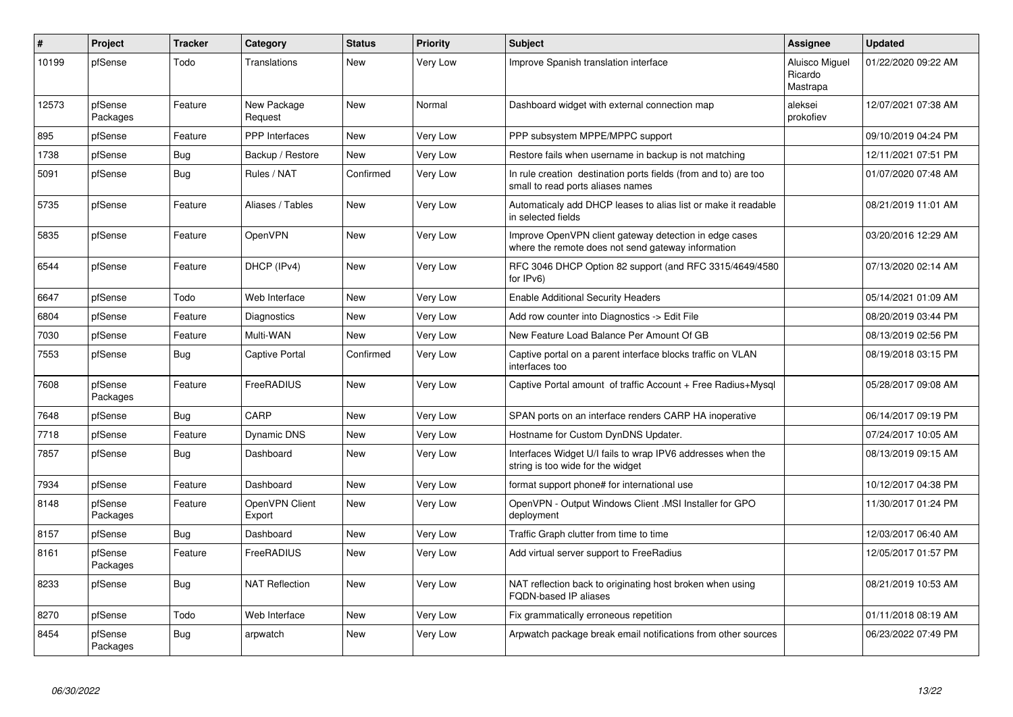| $\vert$ # | Project             | <b>Tracker</b> | Category                 | <b>Status</b> | <b>Priority</b> | <b>Subject</b>                                                                                               | Assignee                              | <b>Updated</b>      |
|-----------|---------------------|----------------|--------------------------|---------------|-----------------|--------------------------------------------------------------------------------------------------------------|---------------------------------------|---------------------|
| 10199     | pfSense             | Todo           | Translations             | <b>New</b>    | Very Low        | Improve Spanish translation interface                                                                        | Aluisco Miguel<br>Ricardo<br>Mastrapa | 01/22/2020 09:22 AM |
| 12573     | pfSense<br>Packages | Feature        | New Package<br>Request   | New           | Normal          | Dashboard widget with external connection map                                                                | aleksei<br>prokofiev                  | 12/07/2021 07:38 AM |
| 895       | pfSense             | Feature        | PPP Interfaces           | New           | Very Low        | PPP subsystem MPPE/MPPC support                                                                              |                                       | 09/10/2019 04:24 PM |
| 1738      | pfSense             | <b>Bug</b>     | Backup / Restore         | <b>New</b>    | Very Low        | Restore fails when username in backup is not matching                                                        |                                       | 12/11/2021 07:51 PM |
| 5091      | pfSense             | Bug            | Rules / NAT              | Confirmed     | Very Low        | In rule creation destination ports fields (from and to) are too<br>small to read ports aliases names         |                                       | 01/07/2020 07:48 AM |
| 5735      | pfSense             | Feature        | Aliases / Tables         | New           | Very Low        | Automaticaly add DHCP leases to alias list or make it readable<br>in selected fields                         |                                       | 08/21/2019 11:01 AM |
| 5835      | pfSense             | Feature        | OpenVPN                  | New           | Very Low        | Improve OpenVPN client gateway detection in edge cases<br>where the remote does not send gateway information |                                       | 03/20/2016 12:29 AM |
| 6544      | pfSense             | Feature        | DHCP (IPv4)              | New           | Very Low        | RFC 3046 DHCP Option 82 support (and RFC 3315/4649/4580<br>for IPv6)                                         |                                       | 07/13/2020 02:14 AM |
| 6647      | pfSense             | Todo           | Web Interface            | New           | Very Low        | <b>Enable Additional Security Headers</b>                                                                    |                                       | 05/14/2021 01:09 AM |
| 6804      | pfSense             | Feature        | Diagnostics              | <b>New</b>    | Very Low        | Add row counter into Diagnostics -> Edit File                                                                |                                       | 08/20/2019 03:44 PM |
| 7030      | pfSense             | Feature        | Multi-WAN                | New           | Very Low        | New Feature Load Balance Per Amount Of GB                                                                    |                                       | 08/13/2019 02:56 PM |
| 7553      | pfSense             | Bug            | Captive Portal           | Confirmed     | Very Low        | Captive portal on a parent interface blocks traffic on VLAN<br>interfaces too                                |                                       | 08/19/2018 03:15 PM |
| 7608      | pfSense<br>Packages | Feature        | FreeRADIUS               | <b>New</b>    | Very Low        | Captive Portal amount of traffic Account + Free Radius+Mysql                                                 |                                       | 05/28/2017 09:08 AM |
| 7648      | pfSense             | <b>Bug</b>     | CARP                     | <b>New</b>    | Very Low        | SPAN ports on an interface renders CARP HA inoperative                                                       |                                       | 06/14/2017 09:19 PM |
| 7718      | pfSense             | Feature        | <b>Dynamic DNS</b>       | New           | Very Low        | Hostname for Custom DynDNS Updater.                                                                          |                                       | 07/24/2017 10:05 AM |
| 7857      | pfSense             | Bug            | Dashboard                | <b>New</b>    | Very Low        | Interfaces Widget U/I fails to wrap IPV6 addresses when the<br>string is too wide for the widget             |                                       | 08/13/2019 09:15 AM |
| 7934      | pfSense             | Feature        | Dashboard                | New           | Very Low        | format support phone# for international use                                                                  |                                       | 10/12/2017 04:38 PM |
| 8148      | pfSense<br>Packages | Feature        | OpenVPN Client<br>Export | New           | Very Low        | OpenVPN - Output Windows Client .MSI Installer for GPO<br>deployment                                         |                                       | 11/30/2017 01:24 PM |
| 8157      | pfSense             | <b>Bug</b>     | Dashboard                | New           | Very Low        | Traffic Graph clutter from time to time                                                                      |                                       | 12/03/2017 06:40 AM |
| 8161      | pfSense<br>Packages | Feature        | FreeRADIUS               | <b>New</b>    | Very Low        | Add virtual server support to FreeRadius                                                                     |                                       | 12/05/2017 01:57 PM |
| 8233      | pfSense             | <b>Bug</b>     | <b>NAT Reflection</b>    | New           | Very Low        | NAT reflection back to originating host broken when using<br><b>FQDN-based IP aliases</b>                    |                                       | 08/21/2019 10:53 AM |
| 8270      | pfSense             | Todo           | Web Interface            | New           | Very Low        | Fix grammatically erroneous repetition                                                                       |                                       | 01/11/2018 08:19 AM |
| 8454      | pfSense<br>Packages | <b>Bug</b>     | arpwatch                 | <b>New</b>    | Very Low        | Arpwatch package break email notifications from other sources                                                |                                       | 06/23/2022 07:49 PM |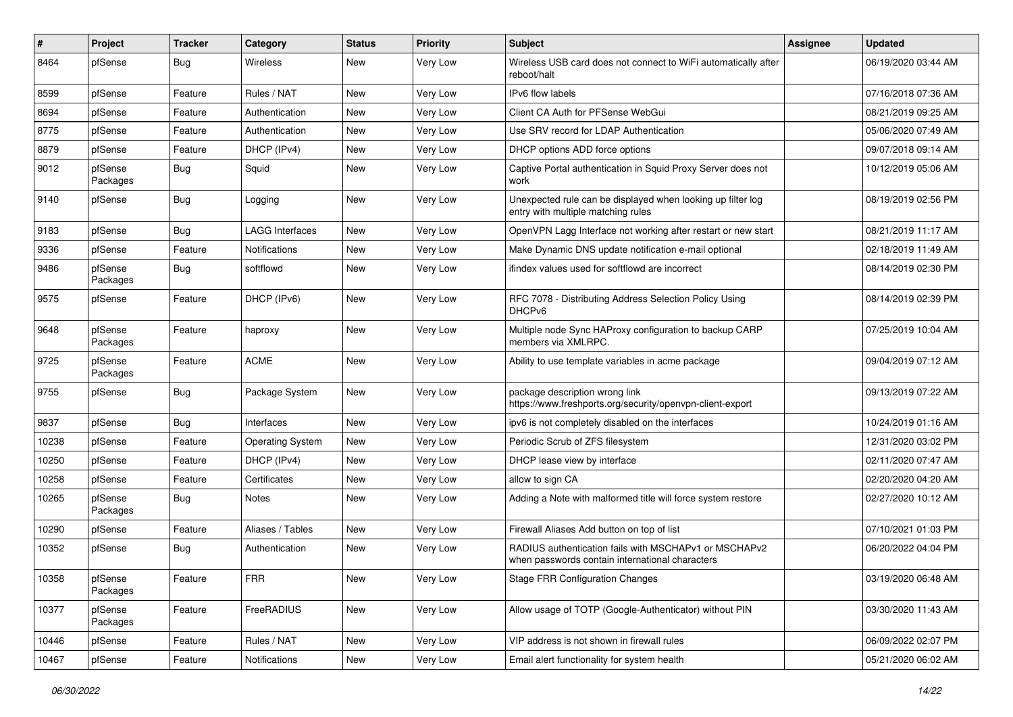| $\#$  | Project             | <b>Tracker</b> | Category                | <b>Status</b> | <b>Priority</b> | <b>Subject</b>                                                                                           | <b>Assignee</b> | <b>Updated</b>      |
|-------|---------------------|----------------|-------------------------|---------------|-----------------|----------------------------------------------------------------------------------------------------------|-----------------|---------------------|
| 8464  | pfSense             | <b>Bug</b>     | <b>Wireless</b>         | New           | <b>Very Low</b> | Wireless USB card does not connect to WiFi automatically after<br>reboot/halt                            |                 | 06/19/2020 03:44 AM |
| 8599  | pfSense             | Feature        | Rules / NAT             | New           | Very Low        | IPv6 flow labels                                                                                         |                 | 07/16/2018 07:36 AM |
| 8694  | pfSense             | Feature        | Authentication          | <b>New</b>    | Very Low        | Client CA Auth for PFSense WebGui                                                                        |                 | 08/21/2019 09:25 AM |
| 8775  | pfSense             | Feature        | Authentication          | <b>New</b>    | Very Low        | Use SRV record for LDAP Authentication                                                                   |                 | 05/06/2020 07:49 AM |
| 8879  | pfSense             | Feature        | DHCP (IPv4)             | New           | Very Low        | DHCP options ADD force options                                                                           |                 | 09/07/2018 09:14 AM |
| 9012  | pfSense<br>Packages | <b>Bug</b>     | Squid                   | <b>New</b>    | <b>Very Low</b> | Captive Portal authentication in Squid Proxy Server does not<br>work                                     |                 | 10/12/2019 05:06 AM |
| 9140  | pfSense             | <b>Bug</b>     | Logging                 | New           | Very Low        | Unexpected rule can be displayed when looking up filter log<br>entry with multiple matching rules        |                 | 08/19/2019 02:56 PM |
| 9183  | pfSense             | <b>Bug</b>     | <b>LAGG Interfaces</b>  | New           | Very Low        | OpenVPN Lagg Interface not working after restart or new start                                            |                 | 08/21/2019 11:17 AM |
| 9336  | pfSense             | Feature        | <b>Notifications</b>    | <b>New</b>    | Very Low        | Make Dynamic DNS update notification e-mail optional                                                     |                 | 02/18/2019 11:49 AM |
| 9486  | pfSense<br>Packages | <b>Bug</b>     | softflowd               | <b>New</b>    | Very Low        | ifindex values used for softflowd are incorrect                                                          |                 | 08/14/2019 02:30 PM |
| 9575  | pfSense             | Feature        | DHCP (IPv6)             | <b>New</b>    | Very Low        | RFC 7078 - Distributing Address Selection Policy Using<br>DHCP <sub>v6</sub>                             |                 | 08/14/2019 02:39 PM |
| 9648  | pfSense<br>Packages | Feature        | haproxy                 | New           | Very Low        | Multiple node Sync HAProxy configuration to backup CARP<br>members via XMLRPC.                           |                 | 07/25/2019 10:04 AM |
| 9725  | pfSense<br>Packages | Feature        | <b>ACME</b>             | New           | Very Low        | Ability to use template variables in acme package                                                        |                 | 09/04/2019 07:12 AM |
| 9755  | pfSense             | <b>Bug</b>     | Package System          | <b>New</b>    | Very Low        | package description wrong link<br>https://www.freshports.org/security/openvpn-client-export              |                 | 09/13/2019 07:22 AM |
| 9837  | pfSense             | <b>Bug</b>     | Interfaces              | <b>New</b>    | Very Low        | ipv6 is not completely disabled on the interfaces                                                        |                 | 10/24/2019 01:16 AM |
| 10238 | pfSense             | Feature        | <b>Operating System</b> | <b>New</b>    | Very Low        | Periodic Scrub of ZFS filesystem                                                                         |                 | 12/31/2020 03:02 PM |
| 10250 | pfSense             | Feature        | DHCP (IPv4)             | New           | Very Low        | DHCP lease view by interface                                                                             |                 | 02/11/2020 07:47 AM |
| 10258 | pfSense             | Feature        | Certificates            | <b>New</b>    | Very Low        | allow to sign CA                                                                                         |                 | 02/20/2020 04:20 AM |
| 10265 | pfSense<br>Packages | <b>Bug</b>     | <b>Notes</b>            | <b>New</b>    | Very Low        | Adding a Note with malformed title will force system restore                                             |                 | 02/27/2020 10:12 AM |
| 10290 | pfSense             | Feature        | Aliases / Tables        | New           | Very Low        | Firewall Aliases Add button on top of list                                                               |                 | 07/10/2021 01:03 PM |
| 10352 | pfSense             | <b>Bug</b>     | Authentication          | New           | <b>Very Low</b> | RADIUS authentication fails with MSCHAPv1 or MSCHAPv2<br>when passwords contain international characters |                 | 06/20/2022 04:04 PM |
| 10358 | pfSense<br>Packages | Feature        | <b>FRR</b>              | New           | Very Low        | <b>Stage FRR Configuration Changes</b>                                                                   |                 | 03/19/2020 06:48 AM |
| 10377 | pfSense<br>Packages | Feature        | FreeRADIUS              | New           | Very Low        | Allow usage of TOTP (Google-Authenticator) without PIN                                                   |                 | 03/30/2020 11:43 AM |
| 10446 | pfSense             | Feature        | Rules / NAT             | New           | Very Low        | VIP address is not shown in firewall rules                                                               |                 | 06/09/2022 02:07 PM |
| 10467 | pfSense             | Feature        | Notifications           | New           | Very Low        | Email alert functionality for system health                                                              |                 | 05/21/2020 06:02 AM |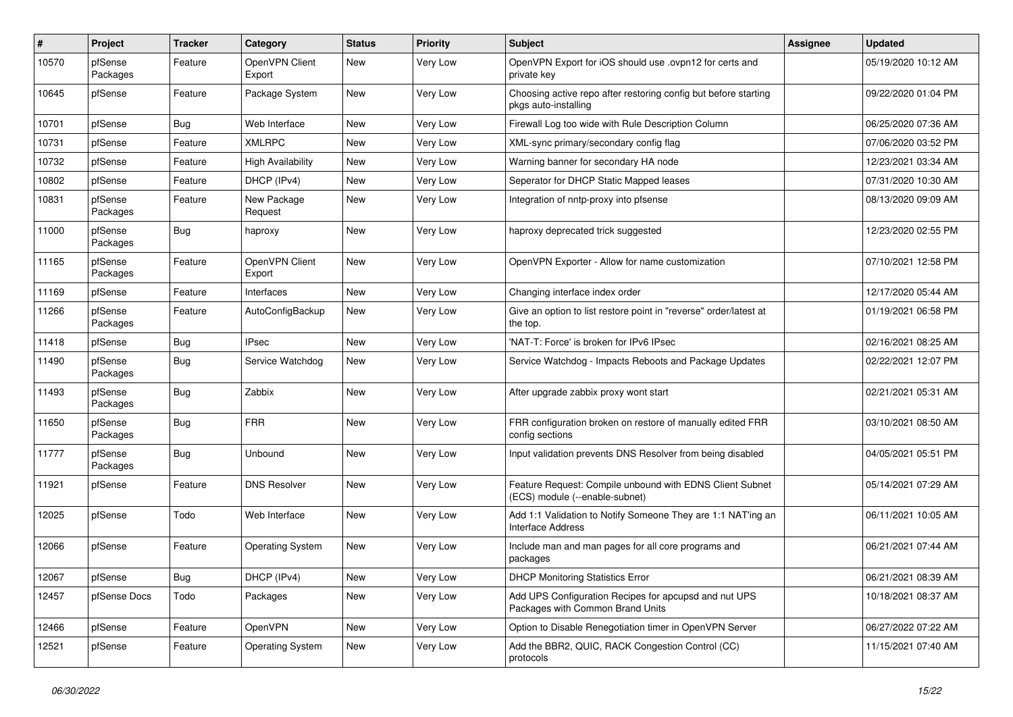| $\pmb{\#}$ | Project             | <b>Tracker</b> | Category                 | <b>Status</b> | <b>Priority</b> | Subject                                                                                    | <b>Assignee</b> | <b>Updated</b>      |
|------------|---------------------|----------------|--------------------------|---------------|-----------------|--------------------------------------------------------------------------------------------|-----------------|---------------------|
| 10570      | pfSense<br>Packages | Feature        | OpenVPN Client<br>Export | New           | Very Low        | OpenVPN Export for iOS should use .ovpn12 for certs and<br>private key                     |                 | 05/19/2020 10:12 AM |
| 10645      | pfSense             | Feature        | Package System           | New           | Very Low        | Choosing active repo after restoring config but before starting<br>pkgs auto-installing    |                 | 09/22/2020 01:04 PM |
| 10701      | pfSense             | <b>Bug</b>     | Web Interface            | New           | Very Low        | Firewall Log too wide with Rule Description Column                                         |                 | 06/25/2020 07:36 AM |
| 10731      | pfSense             | Feature        | <b>XMLRPC</b>            | New           | Very Low        | XML-sync primary/secondary config flag                                                     |                 | 07/06/2020 03:52 PM |
| 10732      | pfSense             | Feature        | <b>High Availability</b> | New           | Very Low        | Warning banner for secondary HA node                                                       |                 | 12/23/2021 03:34 AM |
| 10802      | pfSense             | Feature        | DHCP (IPv4)              | New           | Very Low        | Seperator for DHCP Static Mapped leases                                                    |                 | 07/31/2020 10:30 AM |
| 10831      | pfSense<br>Packages | Feature        | New Package<br>Request   | New           | Very Low        | Integration of nntp-proxy into pfsense                                                     |                 | 08/13/2020 09:09 AM |
| 11000      | pfSense<br>Packages | Bug            | haproxy                  | New           | Very Low        | haproxy deprecated trick suggested                                                         |                 | 12/23/2020 02:55 PM |
| 11165      | pfSense<br>Packages | Feature        | OpenVPN Client<br>Export | New           | <b>Very Low</b> | OpenVPN Exporter - Allow for name customization                                            |                 | 07/10/2021 12:58 PM |
| 11169      | pfSense             | Feature        | Interfaces               | New           | Very Low        | Changing interface index order                                                             |                 | 12/17/2020 05:44 AM |
| 11266      | pfSense<br>Packages | Feature        | AutoConfigBackup         | <b>New</b>    | Very Low        | Give an option to list restore point in "reverse" order/latest at<br>the top.              |                 | 01/19/2021 06:58 PM |
| 11418      | pfSense             | <b>Bug</b>     | <b>IPsec</b>             | New           | Very Low        | 'NAT-T: Force' is broken for IPv6 IPsec                                                    |                 | 02/16/2021 08:25 AM |
| 11490      | pfSense<br>Packages | <b>Bug</b>     | Service Watchdog         | New           | Very Low        | Service Watchdog - Impacts Reboots and Package Updates                                     |                 | 02/22/2021 12:07 PM |
| 11493      | pfSense<br>Packages | <b>Bug</b>     | Zabbix                   | New           | <b>Very Low</b> | After upgrade zabbix proxy wont start                                                      |                 | 02/21/2021 05:31 AM |
| 11650      | pfSense<br>Packages | Bug            | <b>FRR</b>               | New           | Very Low        | FRR configuration broken on restore of manually edited FRR<br>config sections              |                 | 03/10/2021 08:50 AM |
| 11777      | pfSense<br>Packages | <b>Bug</b>     | Unbound                  | New           | Very Low        | Input validation prevents DNS Resolver from being disabled                                 |                 | 04/05/2021 05:51 PM |
| 11921      | pfSense             | Feature        | <b>DNS Resolver</b>      | New           | <b>Very Low</b> | Feature Request: Compile unbound with EDNS Client Subnet<br>(ECS) module (--enable-subnet) |                 | 05/14/2021 07:29 AM |
| 12025      | pfSense             | Todo           | Web Interface            | New           | Very Low        | Add 1:1 Validation to Notify Someone They are 1:1 NAT'ing an<br><b>Interface Address</b>   |                 | 06/11/2021 10:05 AM |
| 12066      | pfSense             | Feature        | <b>Operating System</b>  | New           | Very Low        | Include man and man pages for all core programs and<br>packages                            |                 | 06/21/2021 07:44 AM |
| 12067      | pfSense             | <b>Bug</b>     | DHCP (IPv4)              | New           | Very Low        | <b>DHCP Monitoring Statistics Error</b>                                                    |                 | 06/21/2021 08:39 AM |
| 12457      | pfSense Docs        | Todo           | Packages                 | New           | Very Low        | Add UPS Configuration Recipes for apcupsd and nut UPS<br>Packages with Common Brand Units  |                 | 10/18/2021 08:37 AM |
| 12466      | pfSense             | Feature        | OpenVPN                  | New           | Very Low        | Option to Disable Renegotiation timer in OpenVPN Server                                    |                 | 06/27/2022 07:22 AM |
| 12521      | pfSense             | Feature        | <b>Operating System</b>  | New           | Very Low        | Add the BBR2, QUIC, RACK Congestion Control (CC)<br>protocols                              |                 | 11/15/2021 07:40 AM |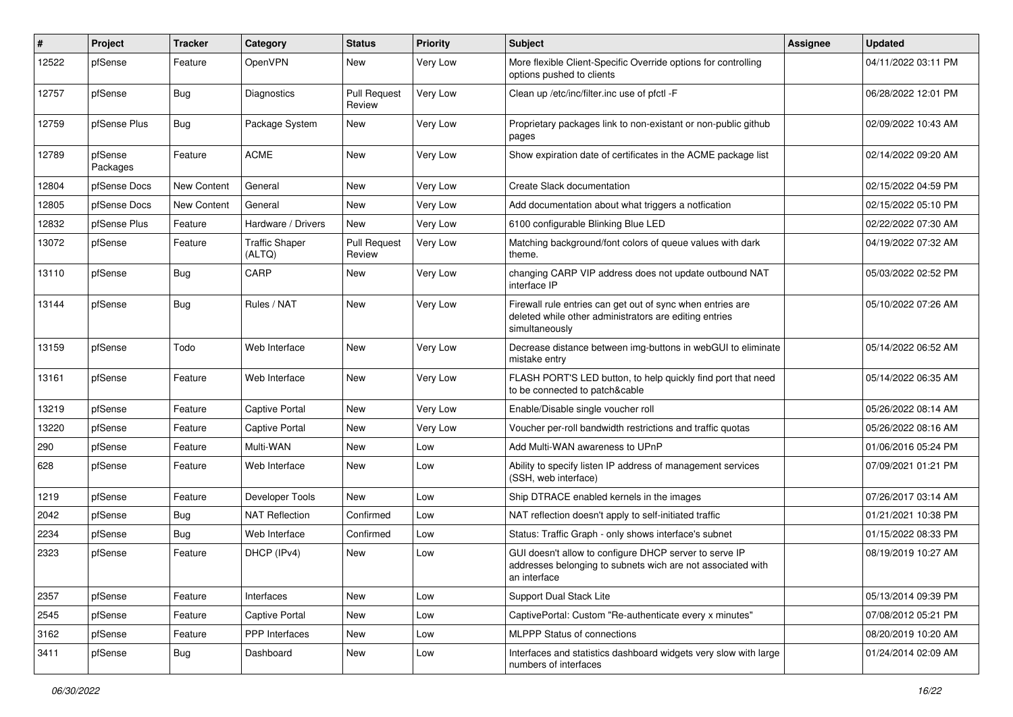| #     | Project             | <b>Tracker</b> | Category                        | <b>Status</b>                 | <b>Priority</b> | <b>Subject</b>                                                                                                                         | <b>Assignee</b> | <b>Updated</b>      |
|-------|---------------------|----------------|---------------------------------|-------------------------------|-----------------|----------------------------------------------------------------------------------------------------------------------------------------|-----------------|---------------------|
| 12522 | pfSense             | Feature        | OpenVPN                         | New                           | Very Low        | More flexible Client-Specific Override options for controlling<br>options pushed to clients                                            |                 | 04/11/2022 03:11 PM |
| 12757 | pfSense             | Bug            | Diagnostics                     | <b>Pull Request</b><br>Review | Very Low        | Clean up /etc/inc/filter.inc use of pfctl -F                                                                                           |                 | 06/28/2022 12:01 PM |
| 12759 | pfSense Plus        | Bug            | Package System                  | <b>New</b>                    | Very Low        | Proprietary packages link to non-existant or non-public github<br>pages                                                                |                 | 02/09/2022 10:43 AM |
| 12789 | pfSense<br>Packages | Feature        | <b>ACME</b>                     | <b>New</b>                    | Very Low        | Show expiration date of certificates in the ACME package list                                                                          |                 | 02/14/2022 09:20 AM |
| 12804 | pfSense Docs        | New Content    | General                         | New                           | Very Low        | Create Slack documentation                                                                                                             |                 | 02/15/2022 04:59 PM |
| 12805 | pfSense Docs        | New Content    | General                         | New                           | Very Low        | Add documentation about what triggers a notfication                                                                                    |                 | 02/15/2022 05:10 PM |
| 12832 | pfSense Plus        | Feature        | Hardware / Drivers              | New                           | Very Low        | 6100 configurable Blinking Blue LED                                                                                                    |                 | 02/22/2022 07:30 AM |
| 13072 | pfSense             | Feature        | <b>Traffic Shaper</b><br>(ALTQ) | <b>Pull Request</b><br>Review | Very Low        | Matching background/font colors of queue values with dark<br>theme.                                                                    |                 | 04/19/2022 07:32 AM |
| 13110 | pfSense             | <b>Bug</b>     | CARP                            | New                           | Very Low        | changing CARP VIP address does not update outbound NAT<br>interface IP                                                                 |                 | 05/03/2022 02:52 PM |
| 13144 | pfSense             | Bug            | Rules / NAT                     | New                           | Very Low        | Firewall rule entries can get out of sync when entries are<br>deleted while other administrators are editing entries<br>simultaneously |                 | 05/10/2022 07:26 AM |
| 13159 | pfSense             | Todo           | Web Interface                   | <b>New</b>                    | Very Low        | Decrease distance between img-buttons in webGUI to eliminate<br>mistake entry                                                          |                 | 05/14/2022 06:52 AM |
| 13161 | pfSense             | Feature        | Web Interface                   | New                           | Very Low        | FLASH PORT'S LED button, to help quickly find port that need<br>to be connected to patch&cable                                         |                 | 05/14/2022 06:35 AM |
| 13219 | pfSense             | Feature        | Captive Portal                  | New                           | Very Low        | Enable/Disable single voucher roll                                                                                                     |                 | 05/26/2022 08:14 AM |
| 13220 | pfSense             | Feature        | <b>Captive Portal</b>           | New                           | Very Low        | Voucher per-roll bandwidth restrictions and traffic quotas                                                                             |                 | 05/26/2022 08:16 AM |
| 290   | pfSense             | Feature        | Multi-WAN                       | New                           | Low             | Add Multi-WAN awareness to UPnP                                                                                                        |                 | 01/06/2016 05:24 PM |
| 628   | pfSense             | Feature        | Web Interface                   | New                           | Low             | Ability to specify listen IP address of management services<br>(SSH, web interface)                                                    |                 | 07/09/2021 01:21 PM |
| 1219  | pfSense             | Feature        | Developer Tools                 | New                           | Low             | Ship DTRACE enabled kernels in the images                                                                                              |                 | 07/26/2017 03:14 AM |
| 2042  | pfSense             | <b>Bug</b>     | <b>NAT Reflection</b>           | Confirmed                     | Low             | NAT reflection doesn't apply to self-initiated traffic                                                                                 |                 | 01/21/2021 10:38 PM |
| 2234  | pfSense             | Bug            | Web Interface                   | Confirmed                     | Low             | Status: Traffic Graph - only shows interface's subnet                                                                                  |                 | 01/15/2022 08:33 PM |
| 2323  | pfSense             | Feature        | DHCP (IPv4)                     | New                           | Low             | GUI doesn't allow to configure DHCP server to serve IP<br>addresses belonging to subnets wich are not associated with<br>an interface  |                 | 08/19/2019 10:27 AM |
| 2357  | pfSense             | Feature        | Interfaces                      | New                           | Low             | Support Dual Stack Lite                                                                                                                |                 | 05/13/2014 09:39 PM |
| 2545  | pfSense             | Feature        | Captive Portal                  | New                           | Low             | CaptivePortal: Custom "Re-authenticate every x minutes"                                                                                |                 | 07/08/2012 05:21 PM |
| 3162  | pfSense             | Feature        | <b>PPP</b> Interfaces           | New                           | Low             | <b>MLPPP Status of connections</b>                                                                                                     |                 | 08/20/2019 10:20 AM |
| 3411  | pfSense             | <b>Bug</b>     | Dashboard                       | New                           | Low             | Interfaces and statistics dashboard widgets very slow with large<br>numbers of interfaces                                              |                 | 01/24/2014 02:09 AM |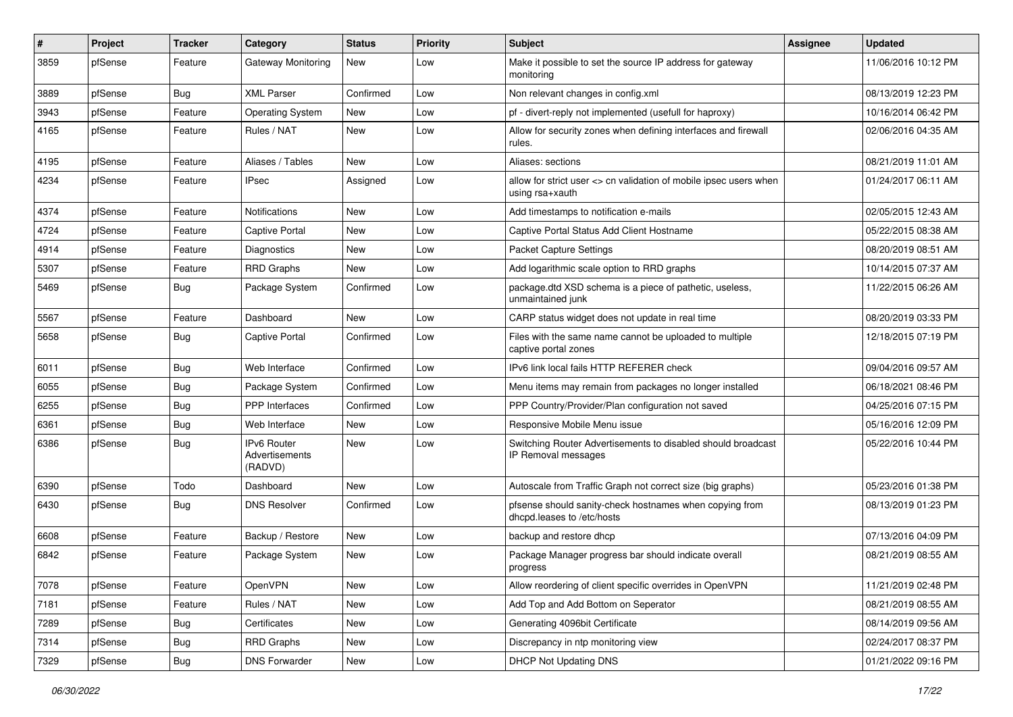| $\pmb{\#}$ | Project | <b>Tracker</b> | Category                                        | <b>Status</b> | <b>Priority</b> | Subject                                                                               | Assignee | <b>Updated</b>      |
|------------|---------|----------------|-------------------------------------------------|---------------|-----------------|---------------------------------------------------------------------------------------|----------|---------------------|
| 3859       | pfSense | Feature        | Gateway Monitoring                              | New           | Low             | Make it possible to set the source IP address for gateway<br>monitoring               |          | 11/06/2016 10:12 PM |
| 3889       | pfSense | <b>Bug</b>     | <b>XML Parser</b>                               | Confirmed     | Low             | Non relevant changes in config.xml                                                    |          | 08/13/2019 12:23 PM |
| 3943       | pfSense | Feature        | <b>Operating System</b>                         | New           | Low             | pf - divert-reply not implemented (usefull for haproxy)                               |          | 10/16/2014 06:42 PM |
| 4165       | pfSense | Feature        | Rules / NAT                                     | <b>New</b>    | Low             | Allow for security zones when defining interfaces and firewall<br>rules.              |          | 02/06/2016 04:35 AM |
| 4195       | pfSense | Feature        | Aliases / Tables                                | <b>New</b>    | Low             | Aliases: sections                                                                     |          | 08/21/2019 11:01 AM |
| 4234       | pfSense | Feature        | <b>IPsec</b>                                    | Assigned      | Low             | allow for strict user <> cn validation of mobile ipsec users when<br>using rsa+xauth  |          | 01/24/2017 06:11 AM |
| 4374       | pfSense | Feature        | <b>Notifications</b>                            | <b>New</b>    | Low             | Add timestamps to notification e-mails                                                |          | 02/05/2015 12:43 AM |
| 4724       | pfSense | Feature        | Captive Portal                                  | New           | Low             | Captive Portal Status Add Client Hostname                                             |          | 05/22/2015 08:38 AM |
| 4914       | pfSense | Feature        | Diagnostics                                     | New           | Low             | <b>Packet Capture Settings</b>                                                        |          | 08/20/2019 08:51 AM |
| 5307       | pfSense | Feature        | <b>RRD Graphs</b>                               | New           | Low             | Add logarithmic scale option to RRD graphs                                            |          | 10/14/2015 07:37 AM |
| 5469       | pfSense | <b>Bug</b>     | Package System                                  | Confirmed     | Low             | package.dtd XSD schema is a piece of pathetic, useless,<br>unmaintained junk          |          | 11/22/2015 06:26 AM |
| 5567       | pfSense | Feature        | Dashboard                                       | New           | Low             | CARP status widget does not update in real time                                       |          | 08/20/2019 03:33 PM |
| 5658       | pfSense | <b>Bug</b>     | <b>Captive Portal</b>                           | Confirmed     | Low             | Files with the same name cannot be uploaded to multiple<br>captive portal zones       |          | 12/18/2015 07:19 PM |
| 6011       | pfSense | <b>Bug</b>     | Web Interface                                   | Confirmed     | Low             | IPv6 link local fails HTTP REFERER check                                              |          | 09/04/2016 09:57 AM |
| 6055       | pfSense | <b>Bug</b>     | Package System                                  | Confirmed     | Low             | Menu items may remain from packages no longer installed                               |          | 06/18/2021 08:46 PM |
| 6255       | pfSense | <b>Bug</b>     | <b>PPP</b> Interfaces                           | Confirmed     | Low             | PPP Country/Provider/Plan configuration not saved                                     |          | 04/25/2016 07:15 PM |
| 6361       | pfSense | <b>Bug</b>     | Web Interface                                   | New           | Low             | Responsive Mobile Menu issue                                                          |          | 05/16/2016 12:09 PM |
| 6386       | pfSense | <b>Bug</b>     | <b>IPv6 Router</b><br>Advertisements<br>(RADVD) | New           | Low             | Switching Router Advertisements to disabled should broadcast<br>IP Removal messages   |          | 05/22/2016 10:44 PM |
| 6390       | pfSense | Todo           | Dashboard                                       | <b>New</b>    | Low             | Autoscale from Traffic Graph not correct size (big graphs)                            |          | 05/23/2016 01:38 PM |
| 6430       | pfSense | <b>Bug</b>     | <b>DNS Resolver</b>                             | Confirmed     | Low             | pfsense should sanity-check hostnames when copying from<br>dhcpd.leases to /etc/hosts |          | 08/13/2019 01:23 PM |
| 6608       | pfSense | Feature        | Backup / Restore                                | New           | Low             | backup and restore dhcp                                                               |          | 07/13/2016 04:09 PM |
| 6842       | pfSense | Feature        | Package System                                  | New           | Low             | Package Manager progress bar should indicate overall<br>progress                      |          | 08/21/2019 08:55 AM |
| 7078       | pfSense | Feature        | OpenVPN                                         | New           | Low             | Allow reordering of client specific overrides in OpenVPN                              |          | 11/21/2019 02:48 PM |
| 7181       | pfSense | Feature        | Rules / NAT                                     | New           | Low             | Add Top and Add Bottom on Seperator                                                   |          | 08/21/2019 08:55 AM |
| 7289       | pfSense | <b>Bug</b>     | Certificates                                    | New           | Low             | Generating 4096bit Certificate                                                        |          | 08/14/2019 09:56 AM |
| 7314       | pfSense | Bug            | RRD Graphs                                      | New           | Low             | Discrepancy in ntp monitoring view                                                    |          | 02/24/2017 08:37 PM |
| 7329       | pfSense | Bug            | <b>DNS Forwarder</b>                            | New           | Low             | <b>DHCP Not Updating DNS</b>                                                          |          | 01/21/2022 09:16 PM |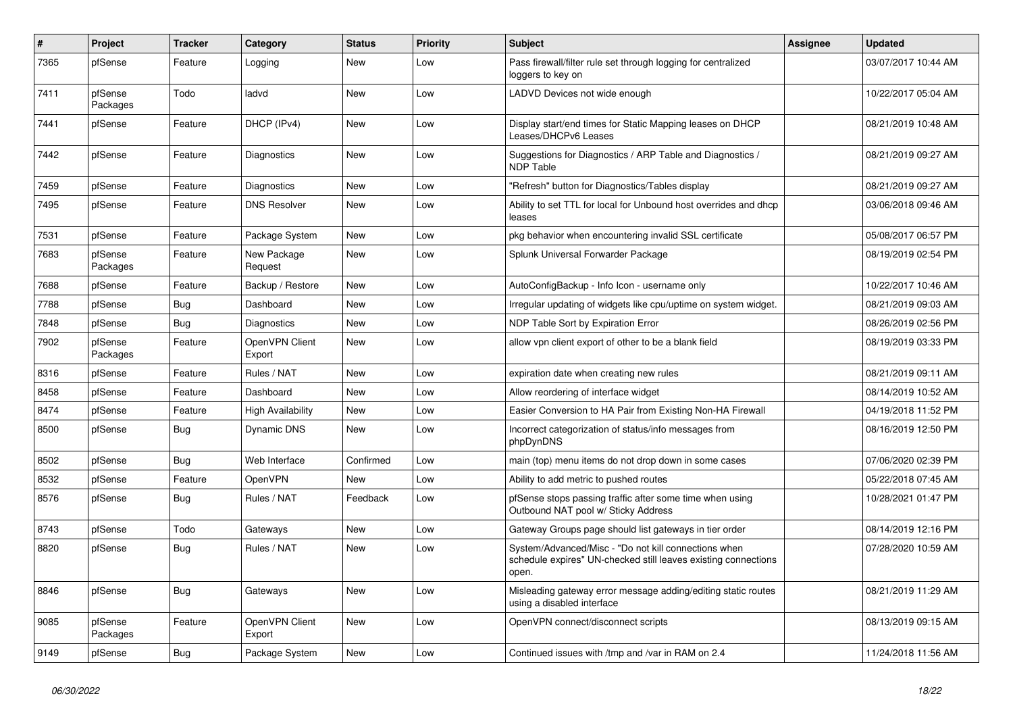| #    | Project             | <b>Tracker</b> | Category                 | <b>Status</b> | <b>Priority</b> | <b>Subject</b>                                                                                                                  | <b>Assignee</b> | <b>Updated</b>      |
|------|---------------------|----------------|--------------------------|---------------|-----------------|---------------------------------------------------------------------------------------------------------------------------------|-----------------|---------------------|
| 7365 | pfSense             | Feature        | Logging                  | New           | Low             | Pass firewall/filter rule set through logging for centralized<br>loggers to key on                                              |                 | 03/07/2017 10:44 AM |
| 7411 | pfSense<br>Packages | Todo           | ladvd                    | New           | Low             | LADVD Devices not wide enough                                                                                                   |                 | 10/22/2017 05:04 AM |
| 7441 | pfSense             | Feature        | DHCP (IPv4)              | <b>New</b>    | Low             | Display start/end times for Static Mapping leases on DHCP<br>Leases/DHCPv6 Leases                                               |                 | 08/21/2019 10:48 AM |
| 7442 | pfSense             | Feature        | Diagnostics              | <b>New</b>    | Low             | Suggestions for Diagnostics / ARP Table and Diagnostics /<br><b>NDP Table</b>                                                   |                 | 08/21/2019 09:27 AM |
| 7459 | pfSense             | Feature        | Diagnostics              | New           | Low             | "Refresh" button for Diagnostics/Tables display                                                                                 |                 | 08/21/2019 09:27 AM |
| 7495 | pfSense             | Feature        | <b>DNS Resolver</b>      | New           | Low             | Ability to set TTL for local for Unbound host overrides and dhcp<br>leases                                                      |                 | 03/06/2018 09:46 AM |
| 7531 | pfSense             | Feature        | Package System           | New           | Low             | pkg behavior when encountering invalid SSL certificate                                                                          |                 | 05/08/2017 06:57 PM |
| 7683 | pfSense<br>Packages | Feature        | New Package<br>Request   | <b>New</b>    | Low             | Splunk Universal Forwarder Package                                                                                              |                 | 08/19/2019 02:54 PM |
| 7688 | pfSense             | Feature        | Backup / Restore         | New           | Low             | AutoConfigBackup - Info Icon - username only                                                                                    |                 | 10/22/2017 10:46 AM |
| 7788 | pfSense             | <b>Bug</b>     | Dashboard                | <b>New</b>    | Low             | Irregular updating of widgets like cpu/uptime on system widget.                                                                 |                 | 08/21/2019 09:03 AM |
| 7848 | pfSense             | Bug            | <b>Diagnostics</b>       | <b>New</b>    | Low             | NDP Table Sort by Expiration Error                                                                                              |                 | 08/26/2019 02:56 PM |
| 7902 | pfSense<br>Packages | Feature        | OpenVPN Client<br>Export | <b>New</b>    | Low             | allow vpn client export of other to be a blank field                                                                            |                 | 08/19/2019 03:33 PM |
| 8316 | pfSense             | Feature        | Rules / NAT              | New           | Low             | expiration date when creating new rules                                                                                         |                 | 08/21/2019 09:11 AM |
| 8458 | pfSense             | Feature        | Dashboard                | New           | Low             | Allow reordering of interface widget                                                                                            |                 | 08/14/2019 10:52 AM |
| 8474 | pfSense             | Feature        | <b>High Availability</b> | New           | Low             | Easier Conversion to HA Pair from Existing Non-HA Firewall                                                                      |                 | 04/19/2018 11:52 PM |
| 8500 | pfSense             | <b>Bug</b>     | Dynamic DNS              | New           | Low             | Incorrect categorization of status/info messages from<br>phpDynDNS                                                              |                 | 08/16/2019 12:50 PM |
| 8502 | pfSense             | Bug            | Web Interface            | Confirmed     | Low             | main (top) menu items do not drop down in some cases                                                                            |                 | 07/06/2020 02:39 PM |
| 8532 | pfSense             | Feature        | <b>OpenVPN</b>           | New           | Low             | Ability to add metric to pushed routes                                                                                          |                 | 05/22/2018 07:45 AM |
| 8576 | pfSense             | Bug            | Rules / NAT              | Feedback      | Low             | pfSense stops passing traffic after some time when using<br>Outbound NAT pool w/ Sticky Address                                 |                 | 10/28/2021 01:47 PM |
| 8743 | pfSense             | Todo           | Gateways                 | New           | Low             | Gateway Groups page should list gateways in tier order                                                                          |                 | 08/14/2019 12:16 PM |
| 8820 | pfSense             | <b>Bug</b>     | Rules / NAT              | New           | Low             | System/Advanced/Misc - "Do not kill connections when<br>schedule expires" UN-checked still leaves existing connections<br>open. |                 | 07/28/2020 10:59 AM |
| 8846 | pfSense             | <b>Bug</b>     | Gateways                 | New           | Low             | Misleading gateway error message adding/editing static routes<br>using a disabled interface                                     |                 | 08/21/2019 11:29 AM |
| 9085 | pfSense<br>Packages | Feature        | OpenVPN Client<br>Export | New           | Low             | OpenVPN connect/disconnect scripts                                                                                              |                 | 08/13/2019 09:15 AM |
| 9149 | pfSense             | <b>Bug</b>     | Package System           | New           | Low             | Continued issues with /tmp and /var in RAM on 2.4                                                                               |                 | 11/24/2018 11:56 AM |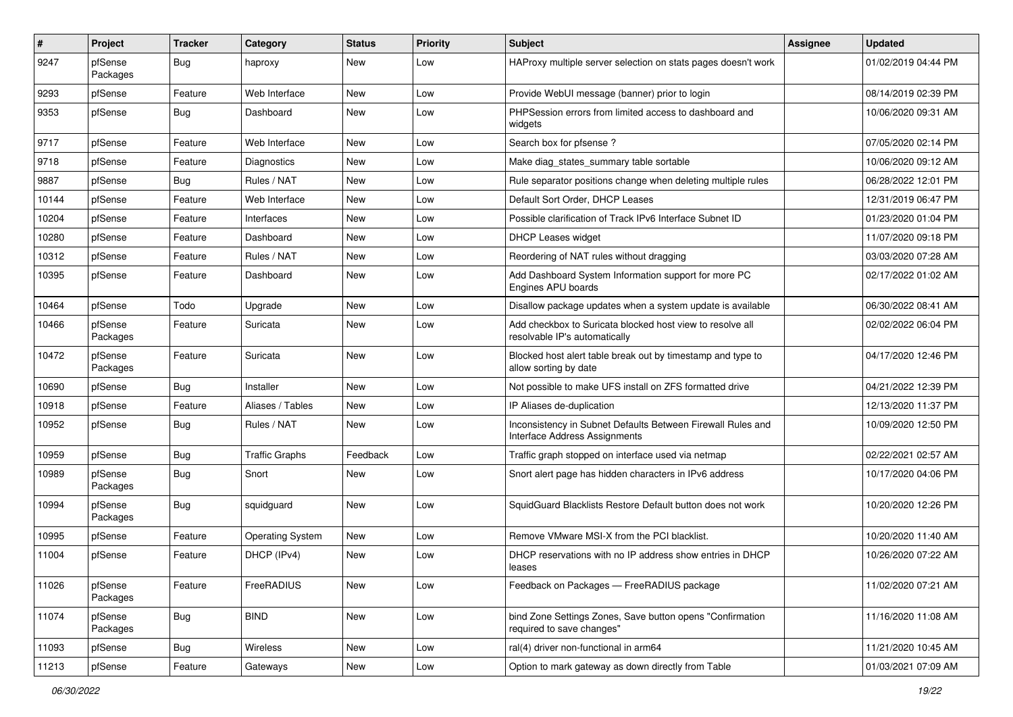| #     | Project             | <b>Tracker</b> | Category                | <b>Status</b> | <b>Priority</b> | <b>Subject</b>                                                                               | <b>Assignee</b> | <b>Updated</b>      |
|-------|---------------------|----------------|-------------------------|---------------|-----------------|----------------------------------------------------------------------------------------------|-----------------|---------------------|
| 9247  | pfSense<br>Packages | <b>Bug</b>     | haproxy                 | New           | Low             | HAProxy multiple server selection on stats pages doesn't work                                |                 | 01/02/2019 04:44 PM |
| 9293  | pfSense             | Feature        | Web Interface           | New           | Low             | Provide WebUI message (banner) prior to login                                                |                 | 08/14/2019 02:39 PM |
| 9353  | pfSense             | <b>Bug</b>     | Dashboard               | New           | Low             | PHPSession errors from limited access to dashboard and<br>widgets                            |                 | 10/06/2020 09:31 AM |
| 9717  | pfSense             | Feature        | Web Interface           | New           | Low             | Search box for pfsense ?                                                                     |                 | 07/05/2020 02:14 PM |
| 9718  | pfSense             | Feature        | Diagnostics             | New           | Low             | Make diag_states_summary table sortable                                                      |                 | 10/06/2020 09:12 AM |
| 9887  | pfSense             | <b>Bug</b>     | Rules / NAT             | New           | Low             | Rule separator positions change when deleting multiple rules                                 |                 | 06/28/2022 12:01 PM |
| 10144 | pfSense             | Feature        | Web Interface           | New           | Low             | Default Sort Order, DHCP Leases                                                              |                 | 12/31/2019 06:47 PM |
| 10204 | pfSense             | Feature        | Interfaces              | <b>New</b>    | Low             | Possible clarification of Track IPv6 Interface Subnet ID                                     |                 | 01/23/2020 01:04 PM |
| 10280 | pfSense             | Feature        | Dashboard               | New           | Low             | <b>DHCP Leases widget</b>                                                                    |                 | 11/07/2020 09:18 PM |
| 10312 | pfSense             | Feature        | Rules / NAT             | New           | Low             | Reordering of NAT rules without dragging                                                     |                 | 03/03/2020 07:28 AM |
| 10395 | pfSense             | Feature        | Dashboard               | New           | Low             | Add Dashboard System Information support for more PC<br>Engines APU boards                   |                 | 02/17/2022 01:02 AM |
| 10464 | pfSense             | Todo           | Upgrade                 | <b>New</b>    | Low             | Disallow package updates when a system update is available                                   |                 | 06/30/2022 08:41 AM |
| 10466 | pfSense<br>Packages | Feature        | Suricata                | New           | Low             | Add checkbox to Suricata blocked host view to resolve all<br>resolvable IP's automatically   |                 | 02/02/2022 06:04 PM |
| 10472 | pfSense<br>Packages | Feature        | Suricata                | <b>New</b>    | Low             | Blocked host alert table break out by timestamp and type to<br>allow sorting by date         |                 | 04/17/2020 12:46 PM |
| 10690 | pfSense             | <b>Bug</b>     | Installer               | New           | Low             | Not possible to make UFS install on ZFS formatted drive                                      |                 | 04/21/2022 12:39 PM |
| 10918 | pfSense             | Feature        | Aliases / Tables        | New           | Low             | IP Aliases de-duplication                                                                    |                 | 12/13/2020 11:37 PM |
| 10952 | pfSense             | <b>Bug</b>     | Rules / NAT             | New           | Low             | Inconsistency in Subnet Defaults Between Firewall Rules and<br>Interface Address Assignments |                 | 10/09/2020 12:50 PM |
| 10959 | pfSense             | <b>Bug</b>     | <b>Traffic Graphs</b>   | Feedback      | Low             | Traffic graph stopped on interface used via netmap                                           |                 | 02/22/2021 02:57 AM |
| 10989 | pfSense<br>Packages | <b>Bug</b>     | Snort                   | New           | Low             | Snort alert page has hidden characters in IPv6 address                                       |                 | 10/17/2020 04:06 PM |
| 10994 | pfSense<br>Packages | <b>Bug</b>     | squidguard              | New           | Low             | SquidGuard Blacklists Restore Default button does not work                                   |                 | 10/20/2020 12:26 PM |
| 10995 | pfSense             | Feature        | <b>Operating System</b> | <b>New</b>    | Low             | Remove VMware MSI-X from the PCI blacklist.                                                  |                 | 10/20/2020 11:40 AM |
| 11004 | pfSense             | Feature        | DHCP (IPv4)             | New           | Low             | DHCP reservations with no IP address show entries in DHCP<br>leases                          |                 | 10/26/2020 07:22 AM |
| 11026 | pfSense<br>Packages | Feature        | FreeRADIUS              | New           | Low             | Feedback on Packages - FreeRADIUS package                                                    |                 | 11/02/2020 07:21 AM |
| 11074 | pfSense<br>Packages | <b>Bug</b>     | <b>BIND</b>             | New           | Low             | bind Zone Settings Zones, Save button opens "Confirmation<br>required to save changes"       |                 | 11/16/2020 11:08 AM |
| 11093 | pfSense             | Bug            | Wireless                | New           | Low             | ral(4) driver non-functional in arm64                                                        |                 | 11/21/2020 10:45 AM |
| 11213 | pfSense             | Feature        | Gateways                | New           | Low             | Option to mark gateway as down directly from Table                                           |                 | 01/03/2021 07:09 AM |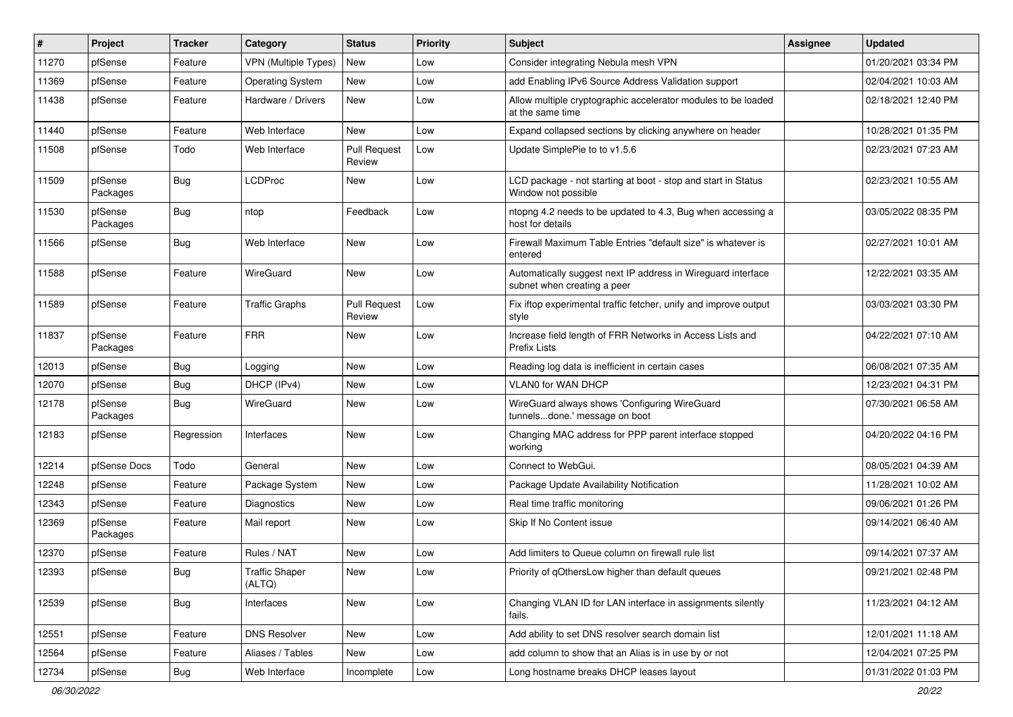| $\pmb{\sharp}$ | Project             | <b>Tracker</b> | Category                        | <b>Status</b>                 | <b>Priority</b> | Subject                                                                                     | Assignee | <b>Updated</b>      |
|----------------|---------------------|----------------|---------------------------------|-------------------------------|-----------------|---------------------------------------------------------------------------------------------|----------|---------------------|
| 11270          | pfSense             | Feature        | <b>VPN (Multiple Types)</b>     | New                           | Low             | Consider integrating Nebula mesh VPN                                                        |          | 01/20/2021 03:34 PM |
| 11369          | pfSense             | Feature        | <b>Operating System</b>         | New                           | Low             | add Enabling IPv6 Source Address Validation support                                         |          | 02/04/2021 10:03 AM |
| 11438          | pfSense             | Feature        | Hardware / Drivers              | New                           | Low             | Allow multiple cryptographic accelerator modules to be loaded<br>at the same time           |          | 02/18/2021 12:40 PM |
| 11440          | pfSense             | Feature        | Web Interface                   | New                           | Low             | Expand collapsed sections by clicking anywhere on header                                    |          | 10/28/2021 01:35 PM |
| 11508          | pfSense             | Todo           | Web Interface                   | <b>Pull Request</b><br>Review | Low             | Update SimplePie to to v1.5.6                                                               |          | 02/23/2021 07:23 AM |
| 11509          | pfSense<br>Packages | <b>Bug</b>     | <b>LCDProc</b>                  | New                           | Low             | LCD package - not starting at boot - stop and start in Status<br>Window not possible        |          | 02/23/2021 10:55 AM |
| 11530          | pfSense<br>Packages | Bug            | ntop                            | Feedback                      | Low             | ntopng 4.2 needs to be updated to 4.3, Bug when accessing a<br>host for details             |          | 03/05/2022 08:35 PM |
| 11566          | pfSense             | Bug            | Web Interface                   | New                           | Low             | Firewall Maximum Table Entries "default size" is whatever is<br>entered                     |          | 02/27/2021 10:01 AM |
| 11588          | pfSense             | Feature        | WireGuard                       | New                           | Low             | Automatically suggest next IP address in Wireguard interface<br>subnet when creating a peer |          | 12/22/2021 03:35 AM |
| 11589          | pfSense             | Feature        | <b>Traffic Graphs</b>           | <b>Pull Request</b><br>Review | Low             | Fix iftop experimental traffic fetcher, unify and improve output<br>style                   |          | 03/03/2021 03:30 PM |
| 11837          | pfSense<br>Packages | Feature        | <b>FRR</b>                      | New                           | Low             | Increase field length of FRR Networks in Access Lists and<br>Prefix Lists                   |          | 04/22/2021 07:10 AM |
| 12013          | pfSense             | <b>Bug</b>     | Logging                         | <b>New</b>                    | Low             | Reading log data is inefficient in certain cases                                            |          | 06/08/2021 07:35 AM |
| 12070          | pfSense             | <b>Bug</b>     | DHCP (IPv4)                     | New                           | Low             | VLAN0 for WAN DHCP                                                                          |          | 12/23/2021 04:31 PM |
| 12178          | pfSense<br>Packages | Bug            | WireGuard                       | <b>New</b>                    | Low             | WireGuard always shows 'Configuring WireGuard<br>tunnelsdone.' message on boot              |          | 07/30/2021 06:58 AM |
| 12183          | pfSense             | Regression     | Interfaces                      | <b>New</b>                    | Low             | Changing MAC address for PPP parent interface stopped<br>working                            |          | 04/20/2022 04:16 PM |
| 12214          | pfSense Docs        | Todo           | General                         | New                           | Low             | Connect to WebGui.                                                                          |          | 08/05/2021 04:39 AM |
| 12248          | pfSense             | Feature        | Package System                  | New                           | Low             | Package Update Availability Notification                                                    |          | 11/28/2021 10:02 AM |
| 12343          | pfSense             | Feature        | Diagnostics                     | New                           | Low             | Real time traffic monitoring                                                                |          | 09/06/2021 01:26 PM |
| 12369          | pfSense<br>Packages | Feature        | Mail report                     | New                           | Low             | Skip If No Content issue                                                                    |          | 09/14/2021 06:40 AM |
| 12370          | pfSense             | Feature        | Rules / NAT                     | New                           | Low             | Add limiters to Queue column on firewall rule list                                          |          | 09/14/2021 07:37 AM |
| 12393          | pfSense             | <b>Bug</b>     | <b>Traffic Shaper</b><br>(ALTQ) | New                           | Low             | Priority of qOthersLow higher than default queues                                           |          | 09/21/2021 02:48 PM |
| 12539          | pfSense             | Bug            | Interfaces                      | New                           | Low             | Changing VLAN ID for LAN interface in assignments silently<br>fails.                        |          | 11/23/2021 04:12 AM |
| 12551          | pfSense             | Feature        | <b>DNS Resolver</b>             | New                           | Low             | Add ability to set DNS resolver search domain list                                          |          | 12/01/2021 11:18 AM |
| 12564          | pfSense             | Feature        | Aliases / Tables                | New                           | Low             | add column to show that an Alias is in use by or not                                        |          | 12/04/2021 07:25 PM |
| 12734          | pfSense             | Bug            | Web Interface                   | Incomplete                    | Low             | Long hostname breaks DHCP leases layout                                                     |          | 01/31/2022 01:03 PM |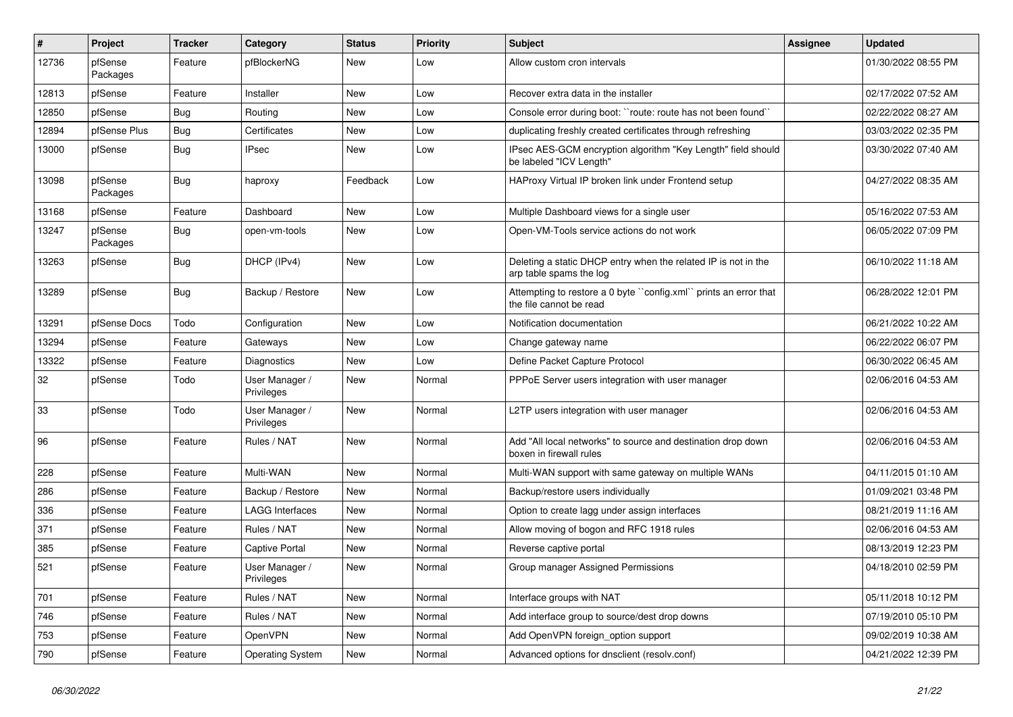| $\sharp$ | Project             | <b>Tracker</b> | Category                     | <b>Status</b> | <b>Priority</b> | <b>Subject</b>                                                                               | Assignee | <b>Updated</b>      |
|----------|---------------------|----------------|------------------------------|---------------|-----------------|----------------------------------------------------------------------------------------------|----------|---------------------|
| 12736    | pfSense<br>Packages | Feature        | pfBlockerNG                  | <b>New</b>    | Low             | Allow custom cron intervals                                                                  |          | 01/30/2022 08:55 PM |
| 12813    | pfSense             | Feature        | Installer                    | New           | Low             | Recover extra data in the installer                                                          |          | 02/17/2022 07:52 AM |
| 12850    | pfSense             | Bug            | Routina                      | New           | Low             | Console error during boot: "route: route has not been found"                                 |          | 02/22/2022 08:27 AM |
| 12894    | pfSense Plus        | Bug            | Certificates                 | New           | Low             | duplicating freshly created certificates through refreshing                                  |          | 03/03/2022 02:35 PM |
| 13000    | pfSense             | Bug            | <b>IPsec</b>                 | <b>New</b>    | Low             | IPsec AES-GCM encryption algorithm "Key Length" field should<br>be labeled "ICV Length"      |          | 03/30/2022 07:40 AM |
| 13098    | pfSense<br>Packages | Bug            | haproxy                      | Feedback      | Low             | HAProxy Virtual IP broken link under Frontend setup                                          |          | 04/27/2022 08:35 AM |
| 13168    | pfSense             | Feature        | Dashboard                    | New           | Low             | Multiple Dashboard views for a single user                                                   |          | 05/16/2022 07:53 AM |
| 13247    | pfSense<br>Packages | <b>Bug</b>     | open-vm-tools                | New           | Low             | Open-VM-Tools service actions do not work                                                    |          | 06/05/2022 07:09 PM |
| 13263    | pfSense             | <b>Bug</b>     | DHCP (IPv4)                  | <b>New</b>    | Low             | Deleting a static DHCP entry when the related IP is not in the<br>arp table spams the log    |          | 06/10/2022 11:18 AM |
| 13289    | pfSense             | Bug            | Backup / Restore             | New           | Low             | Attempting to restore a 0 byte ''config.xml' prints an error that<br>the file cannot be read |          | 06/28/2022 12:01 PM |
| 13291    | pfSense Docs        | Todo           | Configuration                | New           | Low             | Notification documentation                                                                   |          | 06/21/2022 10:22 AM |
| 13294    | pfSense             | Feature        | Gateways                     | New           | Low             | Change gateway name                                                                          |          | 06/22/2022 06:07 PM |
| 13322    | pfSense             | Feature        | Diagnostics                  | New           | Low             | Define Packet Capture Protocol                                                               |          | 06/30/2022 06:45 AM |
| 32       | pfSense             | Todo           | User Manager /<br>Privileges | New           | Normal          | PPPoE Server users integration with user manager                                             |          | 02/06/2016 04:53 AM |
| 33       | pfSense             | Todo           | User Manager /<br>Privileges | New           | Normal          | L2TP users integration with user manager                                                     |          | 02/06/2016 04:53 AM |
| 96       | pfSense             | Feature        | Rules / NAT                  | <b>New</b>    | Normal          | Add "All local networks" to source and destination drop down<br>boxen in firewall rules      |          | 02/06/2016 04:53 AM |
| 228      | pfSense             | Feature        | Multi-WAN                    | <b>New</b>    | Normal          | Multi-WAN support with same gateway on multiple WANs                                         |          | 04/11/2015 01:10 AM |
| 286      | pfSense             | Feature        | Backup / Restore             | New           | Normal          | Backup/restore users individually                                                            |          | 01/09/2021 03:48 PM |
| 336      | pfSense             | Feature        | LAGG Interfaces              | New           | Normal          | Option to create lagg under assign interfaces                                                |          | 08/21/2019 11:16 AM |
| 371      | pfSense             | Feature        | Rules / NAT                  | <b>New</b>    | Normal          | Allow moving of bogon and RFC 1918 rules                                                     |          | 02/06/2016 04:53 AM |
| 385      | pfSense             | Feature        | <b>Captive Portal</b>        | New           | Normal          | Reverse captive portal                                                                       |          | 08/13/2019 12:23 PM |
| 521      | pfSense             | Feature        | User Manager /<br>Privileges | New           | Normal          | Group manager Assigned Permissions                                                           |          | 04/18/2010 02:59 PM |
| 701      | pfSense             | Feature        | Rules / NAT                  | New           | Normal          | Interface groups with NAT                                                                    |          | 05/11/2018 10:12 PM |
| 746      | pfSense             | Feature        | Rules / NAT                  | New           | Normal          | Add interface group to source/dest drop downs                                                |          | 07/19/2010 05:10 PM |
| 753      | pfSense             | Feature        | OpenVPN                      | New           | Normal          | Add OpenVPN foreign option support                                                           |          | 09/02/2019 10:38 AM |
| 790      | pfSense             | Feature        | <b>Operating System</b>      | New           | Normal          | Advanced options for dnsclient (resolv.conf)                                                 |          | 04/21/2022 12:39 PM |